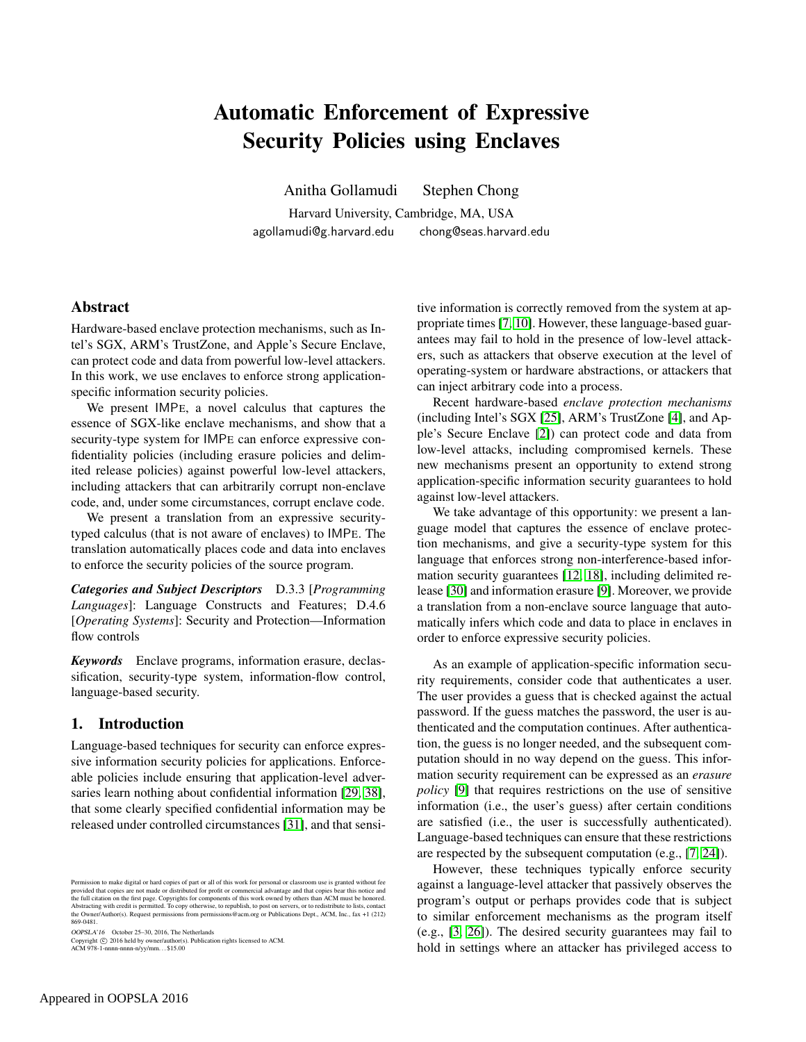# Automatic Enforcement of Expressive Security Policies using Enclaves

Anitha Gollamudi Stephen Chong

Harvard University, Cambridge, MA, USA agollamudi@g.harvard.edu chong@seas.harvard.edu

## Abstract

Hardware-based enclave protection mechanisms, such as Intel's SGX, ARM's TrustZone, and Apple's Secure Enclave, can protect code and data from powerful low-level attackers. In this work, we use enclaves to enforce strong applicationspecific information security policies.

We present IMPE, a novel calculus that captures the essence of SGX-like enclave mechanisms, and show that a security-type system for IMPE can enforce expressive confidentiality policies (including erasure policies and delimited release policies) against powerful low-level attackers, including attackers that can arbitrarily corrupt non-enclave code, and, under some circumstances, corrupt enclave code.

We present a translation from an expressive securitytyped calculus (that is not aware of enclaves) to IMPE. The translation automatically places code and data into enclaves to enforce the security policies of the source program.

*Categories and Subject Descriptors* D.3.3 [*Programming Languages*]: Language Constructs and Features; D.4.6 [*Operating Systems*]: Security and Protection—Information flow controls

*Keywords* Enclave programs, information erasure, declassification, security-type system, information-flow control, language-based security.

## 1. Introduction

Language-based techniques for security can enforce expressive information security policies for applications. Enforceable policies include ensuring that application-level adversaries learn nothing about confidential information [\[29,](#page-18-0) [38\]](#page-19-0), that some clearly specified confidential information may be released under controlled circumstances [\[31\]](#page-18-1), and that sensi-

OOPSLA'16 October 25–30, 2016, The Netherlands

Copyright © 2016 held by owner/author(s). Publication rights licensed to ACM.<br>ACM 978-1-nnnn-nnnn-n/yy/mm...\$15.00

tive information is correctly removed from the system at appropriate times [\[7,](#page-18-2) [10\]](#page-18-3). However, these language-based guarantees may fail to hold in the presence of low-level attackers, such as attackers that observe execution at the level of operating-system or hardware abstractions, or attackers that can inject arbitrary code into a process.

Recent hardware-based *enclave protection mechanisms* (including Intel's SGX [\[25\]](#page-18-4), ARM's TrustZone [\[4\]](#page-18-5), and Apple's Secure Enclave [\[2\]](#page-18-6)) can protect code and data from low-level attacks, including compromised kernels. These new mechanisms present an opportunity to extend strong application-specific information security guarantees to hold against low-level attackers.

We take advantage of this opportunity: we present a language model that captures the essence of enclave protection mechanisms, and give a security-type system for this language that enforces strong non-interference-based information security guarantees [\[12,](#page-18-7) [18\]](#page-18-8), including delimited release [\[30\]](#page-18-9) and information erasure [\[9\]](#page-18-10). Moreover, we provide a translation from a non-enclave source language that automatically infers which code and data to place in enclaves in order to enforce expressive security policies.

As an example of application-specific information security requirements, consider code that authenticates a user. The user provides a guess that is checked against the actual password. If the guess matches the password, the user is authenticated and the computation continues. After authentication, the guess is no longer needed, and the subsequent computation should in no way depend on the guess. This information security requirement can be expressed as an *erasure policy* [\[9\]](#page-18-10) that requires restrictions on the use of sensitive information (i.e., the user's guess) after certain conditions are satisfied (i.e., the user is successfully authenticated). Language-based techniques can ensure that these restrictions are respected by the subsequent computation (e.g., [\[7,](#page-18-2) [24\]](#page-18-11)).

However, these techniques typically enforce security against a language-level attacker that passively observes the program's output or perhaps provides code that is subject to similar enforcement mechanisms as the program itself (e.g., [\[3,](#page-18-12) [26\]](#page-18-13)). The desired security guarantees may fail to hold in settings where an attacker has privileged access to

Permission to make digital or hard copies of part or all of this work for personal or classroom use is granted without fee provided that copies are not made or distributed for profit or commercial advantage and that copies bear this notice and<br>the full citation on the first page. Copyrights for components of this work owned by others than ACM 869-0481.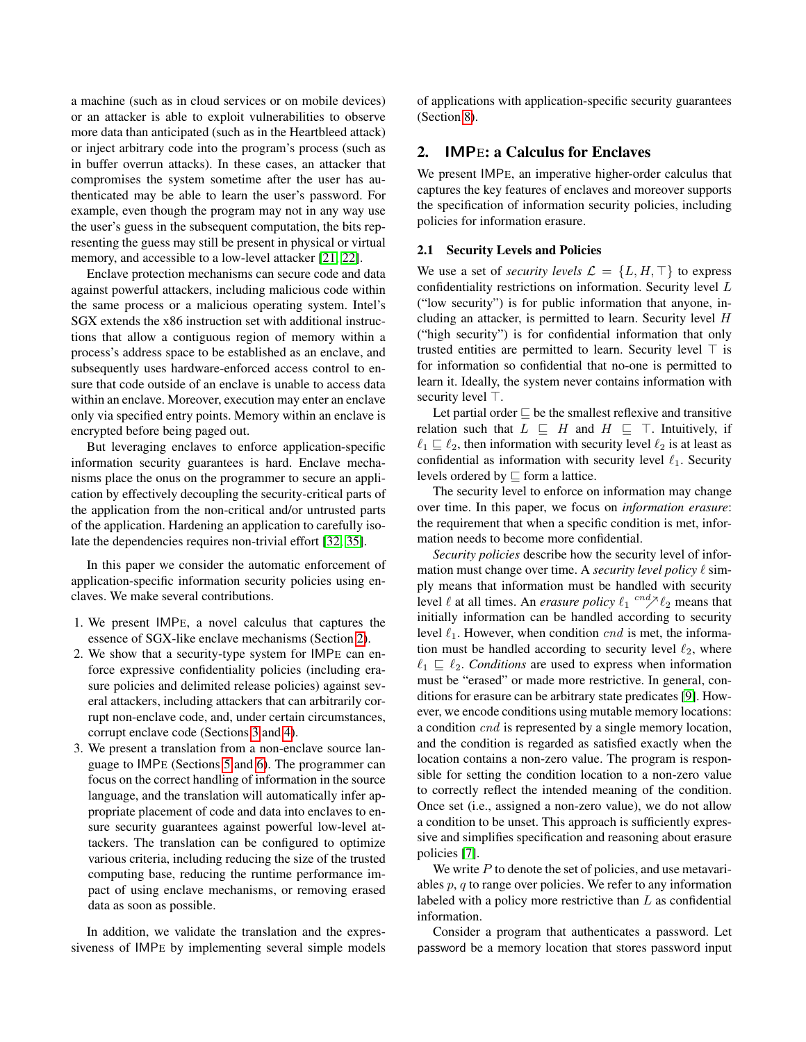a machine (such as in cloud services or on mobile devices) or an attacker is able to exploit vulnerabilities to observe more data than anticipated (such as in the Heartbleed attack) or inject arbitrary code into the program's process (such as in buffer overrun attacks). In these cases, an attacker that compromises the system sometime after the user has authenticated may be able to learn the user's password. For example, even though the program may not in any way use the user's guess in the subsequent computation, the bits representing the guess may still be present in physical or virtual memory, and accessible to a low-level attacker [\[21,](#page-18-14) [22\]](#page-18-15).

Enclave protection mechanisms can secure code and data against powerful attackers, including malicious code within the same process or a malicious operating system. Intel's SGX extends the x86 instruction set with additional instructions that allow a contiguous region of memory within a process's address space to be established as an enclave, and subsequently uses hardware-enforced access control to ensure that code outside of an enclave is unable to access data within an enclave. Moreover, execution may enter an enclave only via specified entry points. Memory within an enclave is encrypted before being paged out.

But leveraging enclaves to enforce application-specific information security guarantees is hard. Enclave mechanisms place the onus on the programmer to secure an application by effectively decoupling the security-critical parts of the application from the non-critical and/or untrusted parts of the application. Hardening an application to carefully isolate the dependencies requires non-trivial effort [\[32,](#page-18-16) [35\]](#page-19-1).

In this paper we consider the automatic enforcement of application-specific information security policies using enclaves. We make several contributions.

- 1. We present IMPE, a novel calculus that captures the essence of SGX-like enclave mechanisms (Section [2\)](#page-1-0).
- 2. We show that a security-type system for IMPE can enforce expressive confidentiality policies (including erasure policies and delimited release policies) against several attackers, including attackers that can arbitrarily corrupt non-enclave code, and, under certain circumstances, corrupt enclave code (Sections [3](#page-4-0) and [4\)](#page-7-0).
- 3. We present a translation from a non-enclave source language to IMPE (Sections [5](#page-11-0) and [6\)](#page-11-1). The programmer can focus on the correct handling of information in the source language, and the translation will automatically infer appropriate placement of code and data into enclaves to ensure security guarantees against powerful low-level attackers. The translation can be configured to optimize various criteria, including reducing the size of the trusted computing base, reducing the runtime performance impact of using enclave mechanisms, or removing erased data as soon as possible.

In addition, we validate the translation and the expressiveness of IMPE by implementing several simple models of applications with application-specific security guarantees (Section [8\)](#page-15-0).

## <span id="page-1-0"></span>2. IMPE: a Calculus for Enclaves

We present IMPE, an imperative higher-order calculus that captures the key features of enclaves and moreover supports the specification of information security policies, including policies for information erasure.

#### 2.1 Security Levels and Policies

We use a set of *security levels*  $\mathcal{L} = \{L, H, \top\}$  to express confidentiality restrictions on information. Security level L ("low security") is for public information that anyone, including an attacker, is permitted to learn. Security level  $H$ ("high security") is for confidential information that only trusted entities are permitted to learn. Security level  $\top$  is for information so confidential that no-one is permitted to learn it. Ideally, the system never contains information with security level  $\top$ .

Let partial order  $\sqsubseteq$  be the smallest reflexive and transitive relation such that  $L \subseteq H$  and  $H \subseteq \top$ . Intuitively, if  $\ell_1 \sqsubseteq \ell_2$ , then information with security level  $\ell_2$  is at least as confidential as information with security level  $\ell_1$ . Security levels ordered by  $\sqsubseteq$  form a lattice.

The security level to enforce on information may change over time. In this paper, we focus on *information erasure*: the requirement that when a specific condition is met, information needs to become more confidential.

*Security policies* describe how the security level of information must change over time. A *security level policy*  $\ell$  simply means that information must be handled with security level  $\ell$  at all times. An *erasure policy*  $\ell_1 \stackrel{cnd}{\sim} \ell_2$  means that initially information can be handled according to security level  $\ell_1$ . However, when condition *cnd* is met, the information must be handled according to security level  $\ell_2$ , where  $\ell_1 \sqsubseteq \ell_2$ . *Conditions* are used to express when information must be "erased" or made more restrictive. In general, conditions for erasure can be arbitrary state predicates [\[9\]](#page-18-10). However, we encode conditions using mutable memory locations: a condition cnd is represented by a single memory location, and the condition is regarded as satisfied exactly when the location contains a non-zero value. The program is responsible for setting the condition location to a non-zero value to correctly reflect the intended meaning of the condition. Once set (i.e., assigned a non-zero value), we do not allow a condition to be unset. This approach is sufficiently expressive and simplifies specification and reasoning about erasure policies [\[7\]](#page-18-2).

We write  $P$  to denote the set of policies, and use metavariables  $p, q$  to range over policies. We refer to any information labeled with a policy more restrictive than  $L$  as confidential information.

Consider a program that authenticates a password. Let password be a memory location that stores password input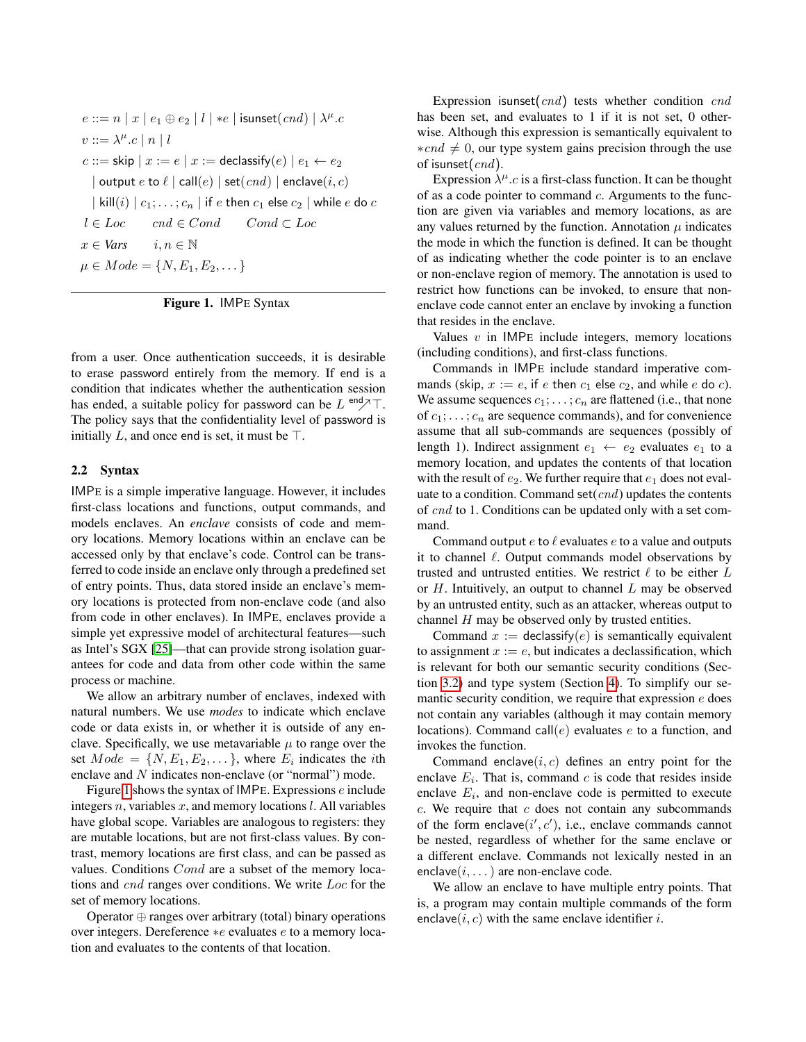```
e ::= n \mid x \mid e_1 \oplus e_2 \mid l \mid *e \mid \text{isunset}(cnd) \mid \lambda^{\mu}.cv ::= \lambda^{\mu} . c \mid n \mid lc ::=skip x := e \mid x := declassify(e) \mid e_1 \leftarrow e_2| output e to \ell | call(e) | set(cnd) | enclave(i, c)| kill(i) | c_1; \ldots; c_n | if e then c_1 else c_2 | while e do cl \in Loc \quad \textit{cnd} \in Cond \quad \textit{Cond} \subset Locx \in Vars \quad i, n \in \mathbb{N}\mu \in Mode = \{N, E_1, E_2, \dots\}
```
<span id="page-2-0"></span>Figure 1. IMPE Syntax

from a user. Once authentication succeeds, it is desirable to erase password entirely from the memory. If end is a condition that indicates whether the authentication session has ended, a suitable policy for password can be  $L^{end} \nearrow T$ . The policy says that the confidentiality level of password is initially L, and once end is set, it must be  $\top$ .

#### 2.2 Syntax

IMPE is a simple imperative language. However, it includes first-class locations and functions, output commands, and models enclaves. An *enclave* consists of code and memory locations. Memory locations within an enclave can be accessed only by that enclave's code. Control can be transferred to code inside an enclave only through a predefined set of entry points. Thus, data stored inside an enclave's memory locations is protected from non-enclave code (and also from code in other enclaves). In IMPE, enclaves provide a simple yet expressive model of architectural features—such as Intel's SGX [\[25\]](#page-18-4)—that can provide strong isolation guarantees for code and data from other code within the same process or machine.

We allow an arbitrary number of enclaves, indexed with natural numbers. We use *modes* to indicate which enclave code or data exists in, or whether it is outside of any enclave. Specifically, we use metavariable  $\mu$  to range over the set  $Mode = \{N, E_1, E_2, \dots\}$ , where  $E_i$  indicates the *i*th enclave and N indicates non-enclave (or "normal") mode.

Figure [1](#page-2-0) shows the syntax of IMPE. Expressions  $e$  include integers n, variables x, and memory locations  $l$ . All variables have global scope. Variables are analogous to registers: they are mutable locations, but are not first-class values. By contrast, memory locations are first class, and can be passed as values. Conditions Cond are a subset of the memory locations and cnd ranges over conditions. We write Loc for the set of memory locations.

Operator ⊕ ranges over arbitrary (total) binary operations over integers. Dereference ∗e evaluates e to a memory location and evaluates to the contents of that location.

Expression isunset $(cnd)$  tests whether condition  $cnd$ has been set, and evaluates to 1 if it is not set, 0 otherwise. Although this expression is semantically equivalent to  $*cnd \neq 0$ , our type system gains precision through the use of isunset( $cnd$ ).

Expression  $\lambda^{\mu}$ .c is a first-class function. It can be thought of as a code pointer to command  $c$ . Arguments to the function are given via variables and memory locations, as are any values returned by the function. Annotation  $\mu$  indicates the mode in which the function is defined. It can be thought of as indicating whether the code pointer is to an enclave or non-enclave region of memory. The annotation is used to restrict how functions can be invoked, to ensure that nonenclave code cannot enter an enclave by invoking a function that resides in the enclave.

Values  $v$  in IMPE include integers, memory locations (including conditions), and first-class functions.

Commands in IMPE include standard imperative commands (skip,  $x := e$ , if e then  $c_1$  else  $c_2$ , and while e do c). We assume sequences  $c_1; \ldots; c_n$  are flattened (i.e., that none of  $c_1; \ldots; c_n$  are sequence commands), and for convenience assume that all sub-commands are sequences (possibly of length 1). Indirect assignment  $e_1 \leftarrow e_2$  evaluates  $e_1$  to a memory location, and updates the contents of that location with the result of  $e_2$ . We further require that  $e_1$  does not evaluate to a condition. Command set(cnd) updates the contents of cnd to 1. Conditions can be updated only with a set command.

Command output  $e$  to  $\ell$  evaluates  $e$  to a value and outputs it to channel  $\ell$ . Output commands model observations by trusted and untrusted entities. We restrict  $\ell$  to be either  $L$ or  $H$ . Intuitively, an output to channel  $L$  may be observed by an untrusted entity, such as an attacker, whereas output to channel  $H$  may be observed only by trusted entities.

Command  $x :=$  declassify(e) is semantically equivalent to assignment  $x := e$ , but indicates a declassification, which is relevant for both our semantic security conditions (Section [3.2\)](#page-5-0) and type system (Section [4\)](#page-7-0). To simplify our semantic security condition, we require that expression e does not contain any variables (although it may contain memory locations). Command call( $e$ ) evaluates  $e$  to a function, and invokes the function.

Command enclave $(i, c)$  defines an entry point for the enclave  $E_i$ . That is, command c is code that resides inside enclave  $E_i$ , and non-enclave code is permitted to execute  $c$ . We require that  $c$  does not contain any subcommands of the form enclave $(i', c')$ , i.e., enclave commands cannot be nested, regardless of whether for the same enclave or a different enclave. Commands not lexically nested in an enclave $(i, \ldots)$  are non-enclave code.

We allow an enclave to have multiple entry points. That is, a program may contain multiple commands of the form enclave( $i, c$ ) with the same enclave identifier  $i$ .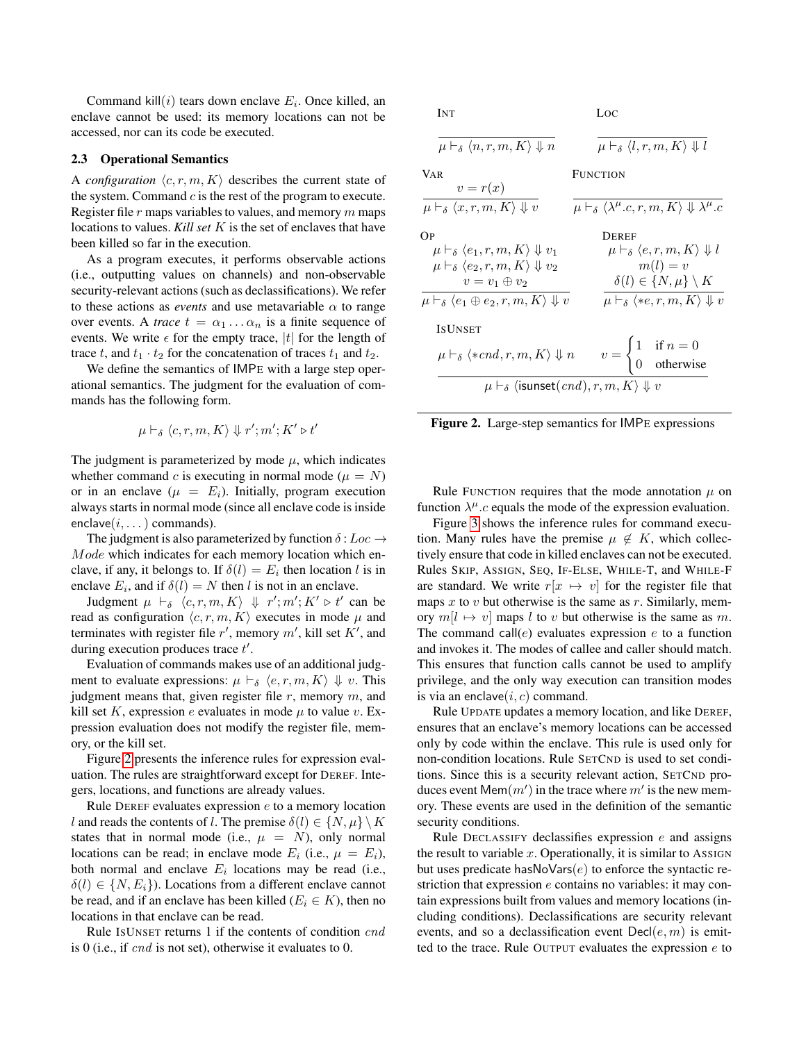Command kill $(i)$  tears down enclave  $E_i$ . Once killed, an enclave cannot be used: its memory locations can not be accessed, nor can its code be executed.

#### <span id="page-3-1"></span>2.3 Operational Semantics

A *configuration*  $\langle c, r, m, K \rangle$  describes the current state of the system. Command  $c$  is the rest of the program to execute. Register file  $r$  maps variables to values, and memory  $m$  maps locations to values. *Kill set* K is the set of enclaves that have been killed so far in the execution.

As a program executes, it performs observable actions (i.e., outputting values on channels) and non-observable security-relevant actions (such as declassifications). We refer to these actions as *events* and use metavariable  $\alpha$  to range over events. A *trace*  $t = \alpha_1 \dots \alpha_n$  is a finite sequence of events. We write  $\epsilon$  for the empty trace, |t| for the length of trace t, and  $t_1 \cdot t_2$  for the concatenation of traces  $t_1$  and  $t_2$ .

We define the semantics of IMPE with a large step operational semantics. The judgment for the evaluation of commands has the following form.

$$
\mu \vdash_{\delta} \langle c,r,m,K\rangle \Downarrow r';m';K' \triangleright t'
$$

The judgment is parameterized by mode  $\mu$ , which indicates whether command c is executing in normal mode ( $\mu = N$ ) or in an enclave  $(\mu = E_i)$ . Initially, program execution always starts in normal mode (since all enclave code is inside enclave $(i, \ldots)$  commands).

The judgment is also parameterized by function  $\delta:Loc \rightarrow$ Mode which indicates for each memory location which enclave, if any, it belongs to. If  $\delta(l) = E_i$  then location l is in enclave  $E_i$ , and if  $\delta(l) = N$  then l is not in an enclave.

Judgment  $\mu \vdash_{\delta} \langle c, r, m, K \rangle \Downarrow r'; m'; K' \triangleright t'$  can be read as configuration  $\langle c, r, m, K \rangle$  executes in mode  $\mu$  and terminates with register file  $r'$ , memory  $m'$ , kill set  $K'$ , and during execution produces trace  $t'$ .

Evaluation of commands makes use of an additional judgment to evaluate expressions:  $\mu \vdash_{\delta} \langle e, r, m, K \rangle \Downarrow v$ . This judgment means that, given register file  $r$ , memory  $m$ , and kill set K, expression e evaluates in mode  $\mu$  to value v. Expression evaluation does not modify the register file, memory, or the kill set.

Figure [2](#page-3-0) presents the inference rules for expression evaluation. The rules are straightforward except for DEREF. Integers, locations, and functions are already values.

Rule DEREF evaluates expression e to a memory location l and reads the contents of l. The premise  $\delta(l) \in \{N, \mu\} \setminus K$ states that in normal mode (i.e.,  $\mu = N$ ), only normal locations can be read; in enclave mode  $E_i$  (i.e.,  $\mu = E_i$ ), both normal and enclave  $E_i$  locations may be read (i.e.,  $\delta(l) \in \{N, E_i\}$ ). Locations from a different enclave cannot be read, and if an enclave has been killed ( $E_i \in K$ ), then no locations in that enclave can be read.

Rule ISUNSET returns 1 if the contents of condition cnd is 0 (i.e., if cnd is not set), otherwise it evaluates to 0.

INT  $\overline{\mu \vdash_{\delta} \langle n, r, m, K \rangle \Downarrow n}$ LOC  $\overline{\mu \vdash_{\delta} \langle l, r, m, K \rangle \Downarrow l}$ VAR  $v = r(x)$  $\mu \vdash_{\delta} \langle x, r, m, K \rangle \Downarrow v$ FUNCTION  $\mu \vdash_{\delta} \langle \lambda^{\mu}.c,r,m,K \rangle \Downarrow \lambda^{\mu}.c$ OP  $\mu \vdash_{\delta} \langle e_1, r, m, K \rangle \Downarrow v_1$  $\mu \vdash_{\delta} \langle e_2, r, m, K \rangle \Downarrow v_2$  $v = v_1 \oplus v_2$  $\mu \vdash_{\delta} \langle e_1 \oplus e_2, r, m, K \rangle \Downarrow v$ DEREF  $\mu \vdash_{\delta} \langle e, r, m, K \rangle \Downarrow l$  $m(l) = v$  $\delta(l) \in \{N, \mu\} \setminus K$  $\overline{\mu \vdash_{\delta} \langle \ast e, r, m, K \rangle \Downarrow v}$ ISUNSET  $\mu \vdash_{\delta} \langle *cnd, r, m, K\rangle \Downarrow n \qquad v =$  $\int 1$  if  $n = 0$ 0 otherwise  $\mu \vdash_{\delta} \langle \mathsf{isunset}(\mathit{cnd}), r, m, K \rangle \Downarrow v$ 

<span id="page-3-0"></span>

Rule FUNCTION requires that the mode annotation  $\mu$  on function  $\lambda^{\mu}$ .c equals the mode of the expression evaluation.

Figure [3](#page-4-1) shows the inference rules for command execution. Many rules have the premise  $\mu \notin K$ , which collectively ensure that code in killed enclaves can not be executed. Rules SKIP, ASSIGN, SEQ, IF-ELSE, WHILE-T, and WHILE-F are standard. We write  $r[x \mapsto v]$  for the register file that maps  $x$  to  $v$  but otherwise is the same as  $r$ . Similarly, memory  $m[l \mapsto v]$  maps l to v but otherwise is the same as m. The command call( $e$ ) evaluates expression  $e$  to a function and invokes it. The modes of callee and caller should match. This ensures that function calls cannot be used to amplify privilege, and the only way execution can transition modes is via an enclave $(i, c)$  command.

Rule UPDATE updates a memory location, and like DEREF, ensures that an enclave's memory locations can be accessed only by code within the enclave. This rule is used only for non-condition locations. Rule SETCND is used to set conditions. Since this is a security relevant action, SETCND produces event Mem $(m')$  in the trace where  $m'$  is the new memory. These events are used in the definition of the semantic security conditions.

Rule DECLASSIFY declassifies expression  $e$  and assigns the result to variable  $x$ . Operationally, it is similar to ASSIGN but uses predicate has $NoVars(e)$  to enforce the syntactic restriction that expression e contains no variables: it may contain expressions built from values and memory locations (including conditions). Declassifications are security relevant events, and so a declassification event  $Decl(e, m)$  is emitted to the trace. Rule OUTPUT evaluates the expression  $e$  to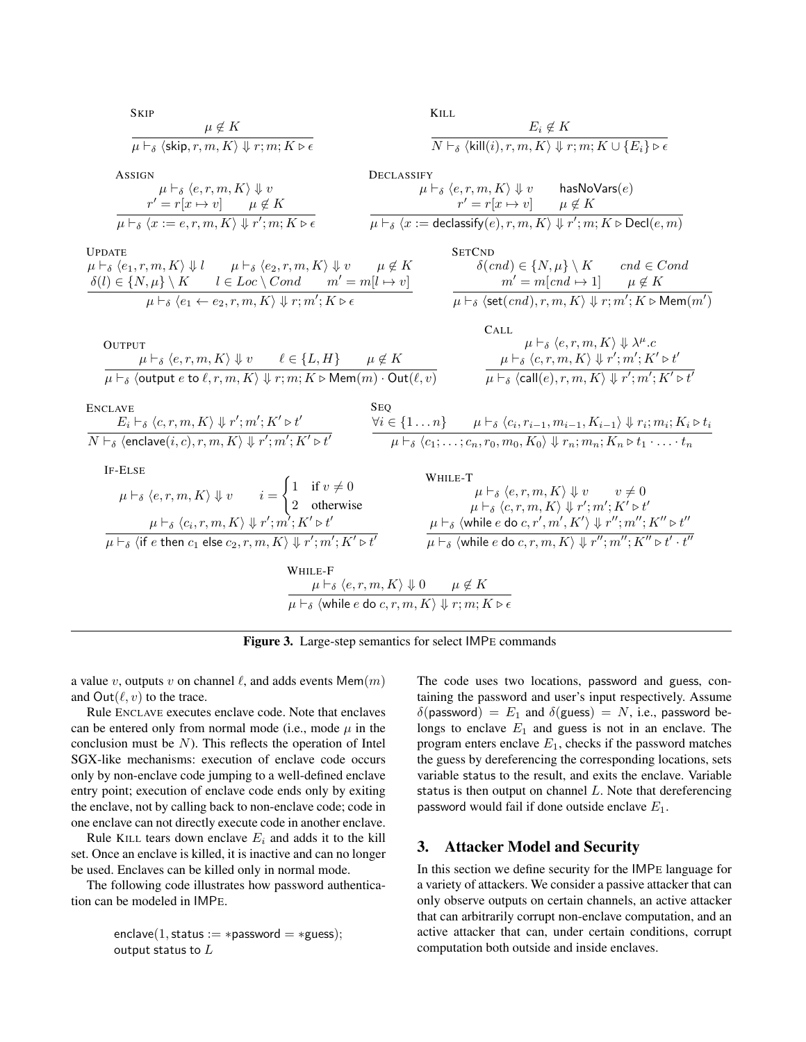

<span id="page-4-1"></span>Figure 3. Large-step semantics for select IMPE commands

a value v, outputs v on channel  $\ell$ , and adds events Mem $(m)$ and  $Out(\ell, v)$  to the trace.

Rule ENCLAVE executes enclave code. Note that enclaves can be entered only from normal mode (i.e., mode  $\mu$  in the conclusion must be  $N$ ). This reflects the operation of Intel SGX-like mechanisms: execution of enclave code occurs only by non-enclave code jumping to a well-defined enclave entry point; execution of enclave code ends only by exiting the enclave, not by calling back to non-enclave code; code in one enclave can not directly execute code in another enclave.

Rule KILL tears down enclave  $E_i$  and adds it to the kill set. Once an enclave is killed, it is inactive and can no longer be used. Enclaves can be killed only in normal mode.

The following code illustrates how password authentication can be modeled in IMPE.

$$
\text{enclave}(1, \text{status} := \text{*password} = \text{*guess}); \\ \text{output status to } L
$$

The code uses two locations, password and guess, containing the password and user's input respectively. Assume  $\delta$ (password) =  $E_1$  and  $\delta$ (guess) = N, i.e., password belongs to enclave  $E_1$  and guess is not in an enclave. The program enters enclave  $E_1$ , checks if the password matches the guess by dereferencing the corresponding locations, sets variable status to the result, and exits the enclave. Variable status is then output on channel L. Note that dereferencing password would fail if done outside enclave  $E_1$ .

## <span id="page-4-0"></span>3. Attacker Model and Security

In this section we define security for the IMPE language for a variety of attackers. We consider a passive attacker that can only observe outputs on certain channels, an active attacker that can arbitrarily corrupt non-enclave computation, and an active attacker that can, under certain conditions, corrupt computation both outside and inside enclaves.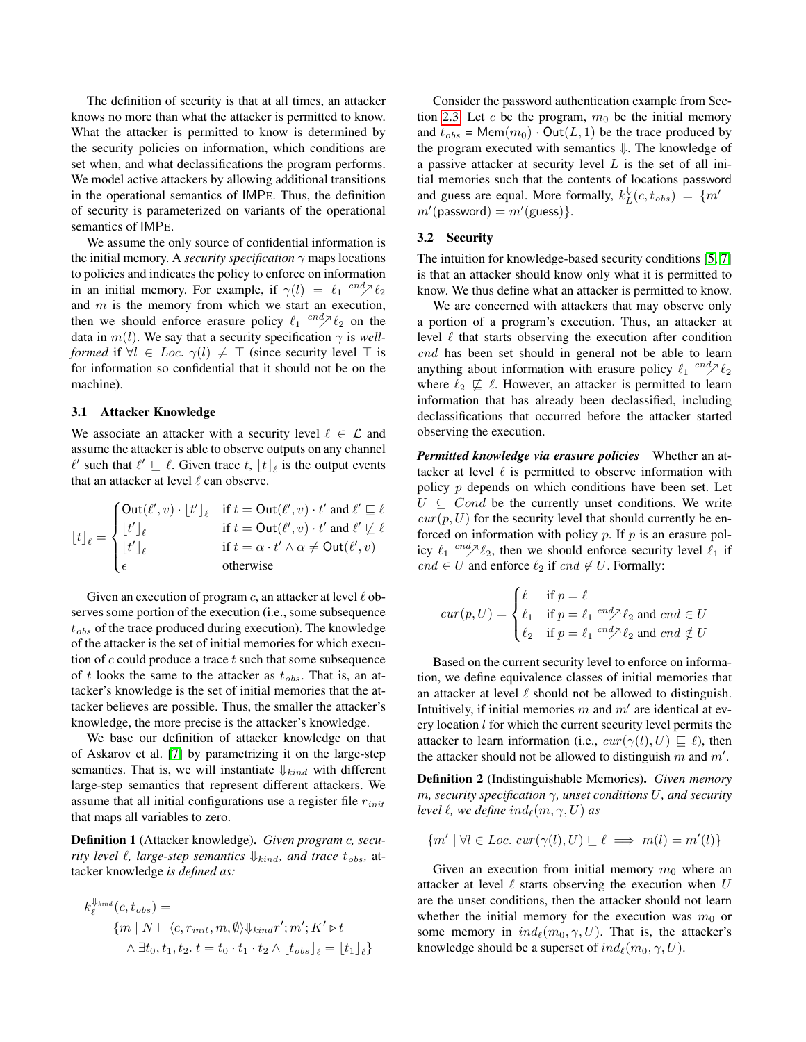The definition of security is that at all times, an attacker knows no more than what the attacker is permitted to know. What the attacker is permitted to know is determined by the security policies on information, which conditions are set when, and what declassifications the program performs. We model active attackers by allowing additional transitions in the operational semantics of IMPE. Thus, the definition of security is parameterized on variants of the operational semantics of IMPE.

We assume the only source of confidential information is the initial memory. A *security specification*  $\gamma$  maps locations to policies and indicates the policy to enforce on information in an initial memory. For example, if  $\gamma(l) = \ell_1 \frac{c n d \gamma \ell_2}{l}$ and  $m$  is the memory from which we start an execution, then we should enforce erasure policy  $\ell_1$   $\overset{cnd}\sim \ell_2$  on the data in  $m(l)$ . We say that a security specification  $\gamma$  is *wellformed* if  $\forall l \in Loc. \gamma(l) \neq \top$  (since security level  $\top$  is for information so confidential that it should not be on the machine).

#### 3.1 Attacker Knowledge

We associate an attacker with a security level  $\ell \in \mathcal{L}$  and assume the attacker is able to observe outputs on any channel  $\ell'$  such that  $\ell' \sqsubseteq \ell$ . Given trace  $t, \lfloor t \rfloor_{\ell}$  is the output events that an attacker at level  $\ell$  can observe.

$$
\lfloor t \rfloor_\ell = \begin{cases} \text{Out}(\ell',v) \cdot \lfloor t' \rfloor_\ell & \text{if } t = \text{Out}(\ell',v) \cdot t' \text{ and } \ell' \sqsubseteq \ell \\ \lfloor t' \rfloor_\ell & \text{if } t = \text{Out}(\ell',v) \cdot t' \text{ and } \ell' \sqsubseteq \ell \\ \lfloor t' \rfloor_\ell & \text{if } t = \alpha \cdot t' \wedge \alpha \neq \text{Out}(\ell',v) \\ \epsilon & \text{otherwise} \end{cases}
$$

Given an execution of program c, an attacker at level  $\ell$  observes some portion of the execution (i.e., some subsequence  $t_{obs}$  of the trace produced during execution). The knowledge of the attacker is the set of initial memories for which execution of  $c$  could produce a trace  $t$  such that some subsequence of t looks the same to the attacker as  $t_{obs}$ . That is, an attacker's knowledge is the set of initial memories that the attacker believes are possible. Thus, the smaller the attacker's knowledge, the more precise is the attacker's knowledge.

We base our definition of attacker knowledge on that of Askarov et al. [\[7\]](#page-18-2) by parametrizing it on the large-step semantics. That is, we will instantiate  $\downarrow_{kind}$  with different large-step semantics that represent different attackers. We assume that all initial configurations use a register file  $r_{init}$ that maps all variables to zero.

Definition 1 (Attacker knowledge). *Given program* c*, security level*  $\ell$ *, large-step semantics*  $\downarrow$ <sub>*kind</sub>, and trace*  $t_{obs}$ *, at-*</sub> tacker knowledge *is defined as:*

$$
k_{\ell}^{\Downarrow_{kind}}(c, t_{obs}) =
$$
  
\n
$$
\{m \mid N \vdash \langle c, r_{init}, m, \emptyset \rangle \Downarrow_{kind} r'; m'; K' \triangleright t
$$
  
\n
$$
\wedge \exists t_0, t_1, t_2. t = t_0 \cdot t_1 \cdot t_2 \wedge \lfloor t_{obs} \rfloor_{\ell} = \lfloor t_1 \rfloor_{\ell} \}
$$

Consider the password authentication example from Sec-tion [2.3.](#page-3-1) Let c be the program,  $m_0$  be the initial memory and  $t_{obs}$  = Mem $(m_0) \cdot Out(L, 1)$  be the trace produced by the program executed with semantics ⇓. The knowledge of a passive attacker at security level  $L$  is the set of all initial memories such that the contents of locations password and guess are equal. More formally,  $k_L^{\Downarrow}(c, t_{obs}) = \{m' \mid$  $m'$ (password) =  $m'$ (guess)}.

## <span id="page-5-0"></span>3.2 Security

The intuition for knowledge-based security conditions [\[5,](#page-18-17) [7\]](#page-18-2) is that an attacker should know only what it is permitted to know. We thus define what an attacker is permitted to know.

We are concerned with attackers that may observe only a portion of a program's execution. Thus, an attacker at level  $\ell$  that starts observing the execution after condition cnd has been set should in general not be able to learn anything about information with erasure policy  $\ell_1$  <sup>cnd</sup> $\geq \ell_2$ where  $\ell_2 \not\sqsubseteq \ell$ . However, an attacker is permitted to learn information that has already been declassified, including declassifications that occurred before the attacker started observing the execution.

*Permitted knowledge via erasure policies* Whether an attacker at level  $\ell$  is permitted to observe information with policy  $p$  depends on which conditions have been set. Let  $U \subseteq Cond$  be the currently unset conditions. We write  $cur(p, U)$  for the security level that should currently be enforced on information with policy  $p$ . If  $p$  is an erasure policy  $\ell_1$  <sup>cnd</sup> $\lambda$  $\ell_2$ , then we should enforce security level  $\ell_1$  if  $cnd \in U$  and enforce  $\ell_2$  if  $cnd \notin U$ . Formally:

$$
cur(p, U) = \begin{cases} \ell & \text{if } p = \ell \\ \ell_1 & \text{if } p = \ell_1 \\ \ell_2 & \text{if } p = \ell_1 \end{cases} \stackrel{end}{\sim} \begin{cases} \ell_2 & \text{and } end \in U \\ \ell_3 & \text{and } \ell \neq U \end{cases}
$$

Based on the current security level to enforce on information, we define equivalence classes of initial memories that an attacker at level  $\ell$  should not be allowed to distinguish. Intuitively, if initial memories m and  $m'$  are identical at every location  $l$  for which the current security level permits the attacker to learn information (i.e.,  $cur(\gamma(l), U) \sqsubseteq \ell$ ), then the attacker should not be allowed to distinguish m and  $m'$ .

Definition 2 (Indistinguishable Memories). *Given memory* m*, security specification* γ*, unset conditions* U*, and security level*  $\ell$ *, we define ind* $_{\ell}(m, \gamma, U)$  *as* 

$$
\{m' \mid \forall l \in Loc. \, cur(\gamma(l), U) \sqsubseteq \ell \implies m(l) = m'(l)\}
$$

Given an execution from initial memory  $m_0$  where an attacker at level  $\ell$  starts observing the execution when U are the unset conditions, then the attacker should not learn whether the initial memory for the execution was  $m_0$  or some memory in  $ind_{\ell}(m_0, \gamma, U)$ . That is, the attacker's knowledge should be a superset of  $ind_{\ell}(m_0, \gamma, U)$ .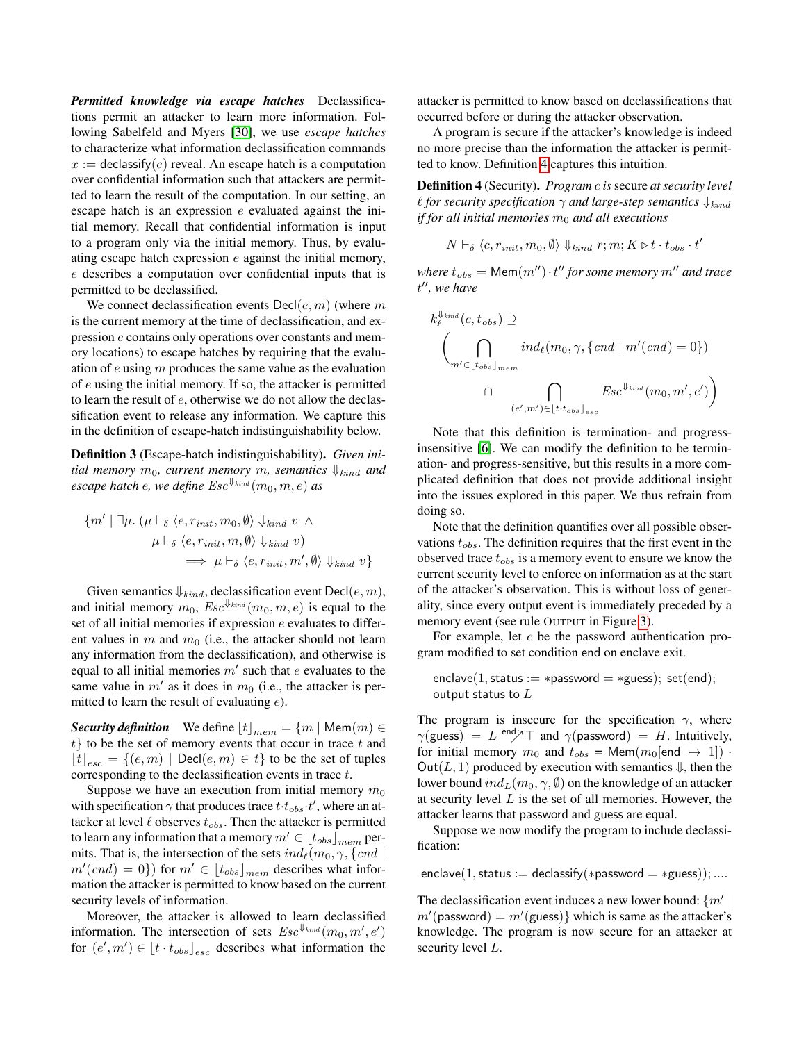*Permitted knowledge via escape hatches* Declassifications permit an attacker to learn more information. Following Sabelfeld and Myers [\[30\]](#page-18-9), we use *escape hatches* to characterize what information declassification commands  $x :=$  declassify(e) reveal. An escape hatch is a computation over confidential information such that attackers are permitted to learn the result of the computation. In our setting, an escape hatch is an expression  $e$  evaluated against the initial memory. Recall that confidential information is input to a program only via the initial memory. Thus, by evaluating escape hatch expression e against the initial memory, e describes a computation over confidential inputs that is permitted to be declassified.

We connect declassification events  $Decl(e, m)$  (where m is the current memory at the time of declassification, and expression e contains only operations over constants and memory locations) to escape hatches by requiring that the evaluation of  $e$  using  $m$  produces the same value as the evaluation of e using the initial memory. If so, the attacker is permitted to learn the result of e, otherwise we do not allow the declassification event to release any information. We capture this in the definition of escape-hatch indistinguishability below.

Definition 3 (Escape-hatch indistinguishability). *Given initial memory*  $m_0$ *, current memory*  $m$ *, semantics*  $\downarrow$ <sub>*kind</sub>* and</sub> *escape hatch* e*, we define* Esc⇓kind (m0, m, e) *as*

$$
\{m' \mid \exists \mu. \ (\mu \vdash_{\delta} \langle e, r_{\text{init}}, m_0, \emptyset \rangle \Downarrow_{\text{kind}} v \land \newline \mu \vdash_{\delta} \langle e, r_{\text{init}}, m, \emptyset \rangle \Downarrow_{\text{kind}} v) \newline \implies \mu \vdash_{\delta} \langle e, r_{\text{init}}, m', \emptyset \rangle \Downarrow_{\text{kind}} v \}
$$

Given semantics  $\Downarrow_{kind}$ , declassification event  $\text{Decl}(e, m)$ , and initial memory  $m_0$ ,  $Esc^{\Downarrow_{kind}}(m_0, m, e)$  is equal to the set of all initial memories if expression e evaluates to different values in  $m$  and  $m_0$  (i.e., the attacker should not learn any information from the declassification), and otherwise is equal to all initial memories  $m'$  such that e evaluates to the same value in  $m'$  as it does in  $m_0$  (i.e., the attacker is permitted to learn the result of evaluating e).

*Security definition* We define  $\lfloor t \rfloor_{mem} = \{m \mid \text{Mem}(m) \in \mathbb{R} \}$  $t$ } to be the set of memory events that occur in trace  $t$  and  $\lfloor t \rfloor_{\text{esc}} = \{(e, m) \mid \text{Decl}(e, m) \in t\}$  to be the set of tuples corresponding to the declassification events in trace  $t$ .

Suppose we have an execution from initial memory  $m_0$ with specification  $\gamma$  that produces trace  $t \cdot t_{obs} \cdot t'$ , where an attacker at level  $\ell$  observes  $t_{obs}$ . Then the attacker is permitted to learn any information that a memory  $m' \in [t_{obs}]_{mem}$  permits. That is, the intersection of the sets  $ind_{\ell}(m_0, \gamma, \{cnd \mid$  $m'(cnd) = 0$ ) for  $m' \in [t_{obs}]_{mem}$  describes what information the attacker is permitted to know based on the current security levels of information.

Moreover, the attacker is allowed to learn declassified information. The intersection of sets  $Esc^{\Downarrow_{kind}}(m_0, m', e')$ for  $(e', m') \in [t \cdot t_{obs}]_{esc}$  describes what information the

attacker is permitted to know based on declassifications that occurred before or during the attacker observation.

A program is secure if the attacker's knowledge is indeed no more precise than the information the attacker is permitted to know. Definition [4](#page-6-0) captures this intuition.

<span id="page-6-0"></span>Definition 4 (Security). *Program* c *is* secure *at security level l* for security specification  $\gamma$  and large-step semantics  $\downarrow$ <sub>kind</sub> *if for all initial memories*  $m_0$  *and all executions* 

$$
N \vdash_{\delta} \langle c, r_{\text{init}}, m_0, \emptyset \rangle \Downarrow_{\text{kind}} r; m; K \triangleright t \cdot t_{\text{obs}} \cdot t'
$$

 $where t_{obs} = \text{Mem}(m'') \cdot t''$  for some memory  $m''$  and trace t <sup>00</sup>*, we have*

$$
k_{\ell}^{\psi_{\text{kind}}}(c, t_{obs}) \supseteq
$$
\n
$$
\left(\bigcap_{m' \in [t_{obs}]_{mem}} ind_{\ell}(m_0, \gamma, \{ \text{cnd} \mid m'(\text{cnd}) = 0 \})\right)
$$
\n
$$
\bigcap_{(e', m') \in [t \cdot t_{obs}]_{esc}} \text{Esc}^{\psi_{\text{kind}}}(m_0, m', e')\right)
$$

Note that this definition is termination- and progressinsensitive [\[6\]](#page-18-18). We can modify the definition to be termination- and progress-sensitive, but this results in a more complicated definition that does not provide additional insight into the issues explored in this paper. We thus refrain from doing so.

Note that the definition quantifies over all possible observations  $t_{obs}$ . The definition requires that the first event in the observed trace  $t_{obs}$  is a memory event to ensure we know the current security level to enforce on information as at the start of the attacker's observation. This is without loss of generality, since every output event is immediately preceded by a memory event (see rule OUTPUT in Figure [3\)](#page-4-1).

For example, let  $c$  be the password authentication program modified to set condition end on enclave exit.

```
enclave(1, status := *password = *guess); set(end);
output status to L
```
The program is insecure for the specification  $\gamma$ , where  $\gamma$ (guess) = L <sup>end</sup> $\gamma$ <sup>T</sup> and  $\gamma$ (password) = H. Intuitively, for initial memory  $m_0$  and  $t_{obs} = \text{Mem}(m_0[\text{end } \mapsto 1])$ . Out(L, 1) produced by execution with semantics  $\psi$ , then the lower bound  $ind_L(m_0, \gamma, \emptyset)$  on the knowledge of an attacker at security level  $L$  is the set of all memories. However, the attacker learns that password and guess are equal.

Suppose we now modify the program to include declassification:

enclave(1, status := declassify(\*password = \*guess)); ....

The declassification event induces a new lower bound:  $\{m'\}$  $m'$ (password) =  $m'$ (guess)} which is same as the attacker's knowledge. The program is now secure for an attacker at security level L.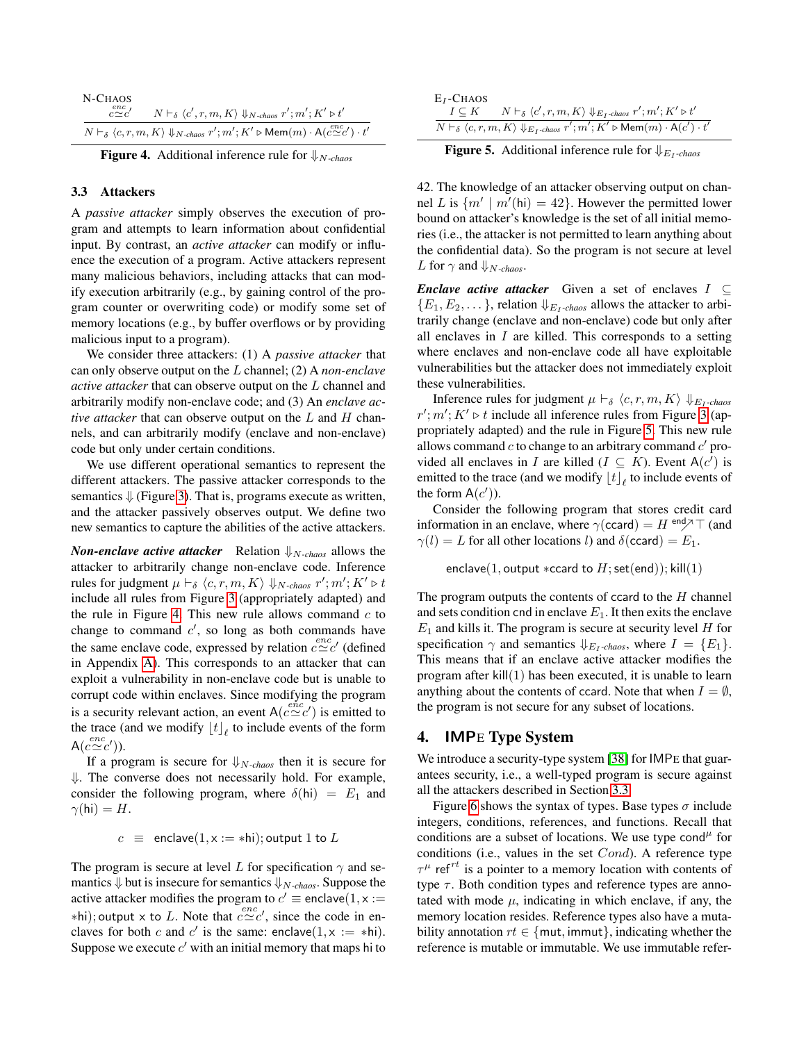| N-CHAOS<br>$c \simeq c'$                                                                                                                           | $N \vdash_{\delta} \langle c', r, m, K \rangle \Downarrow_{N-chaos} r'; m'; K' \triangleright t'$ |
|----------------------------------------------------------------------------------------------------------------------------------------------------|---------------------------------------------------------------------------------------------------|
| $N\vdash_{\delta} \langle c, r, m, K\rangle \Downarrow_{N-chaos} r'; m'; K' \triangleright \mathsf{Mem}(m) \cdot \mathsf{A}(c \simeq c') \cdot t'$ |                                                                                                   |

<span id="page-7-1"></span>Figure 4. Additional inference rule for ⇓<sup>N</sup>*-chaos*

#### <span id="page-7-3"></span>3.3 Attackers

A *passive attacker* simply observes the execution of program and attempts to learn information about confidential input. By contrast, an *active attacker* can modify or influence the execution of a program. Active attackers represent many malicious behaviors, including attacks that can modify execution arbitrarily (e.g., by gaining control of the program counter or overwriting code) or modify some set of memory locations (e.g., by buffer overflows or by providing malicious input to a program).

We consider three attackers: (1) A *passive attacker* that can only observe output on the L channel; (2) A *non-enclave active attacker* that can observe output on the L channel and arbitrarily modify non-enclave code; and (3) An *enclave active attacker* that can observe output on the L and H channels, and can arbitrarily modify (enclave and non-enclave) code but only under certain conditions.

We use different operational semantics to represent the different attackers. The passive attacker corresponds to the semantics  $\downarrow$  (Figure [3\)](#page-4-1). That is, programs execute as written, and the attacker passively observes output. We define two new semantics to capture the abilities of the active attackers.

*Non-enclave active attacker* Relation  $\psi_{N-chaos}$  allows the attacker to arbitrarily change non-enclave code. Inference rules for judgment  $\mu \vdash_{\delta} \langle c, r, m, K \rangle \Downarrow_{N-chaos} r'; m'; K' \triangleright t$ include all rules from Figure [3](#page-4-1) (appropriately adapted) and the rule in Figure [4.](#page-7-1) This new rule allows command  $c$  to change to command  $c'$ , so long as both commands have the same enclave code, expressed by relation  $c \simeq c'$  (defined in Appendix [A\)](#page-19-2). This corresponds to an attacker that can exploit a vulnerability in non-enclave code but is unable to corrupt code within enclaves. Since modifying the program is a security relevant action, an event  $A(c \simeq c')$  is emitted to the trace (and we modify  $\lfloor t \rfloor_{\ell}$  to include events of the form  $A(c \simeq c'))$ .

If a program is secure for  $\psi_{N-chaos}$  then it is secure for ⇓. The converse does not necessarily hold. For example, consider the following program, where  $\delta(hi) = E_1$  and  $\gamma(hi) = H.$ 

 $c \equiv$  enclave $(1, x := *hi);$  output 1 to L

The program is secure at level L for specification  $\gamma$  and semantics  $\Downarrow$  but is insecure for semantics  $\Downarrow$ <sub>N-chaos</sub>. Suppose the active attacker modifies the program to  $c' \equiv$  enclave $(1, x :=$  $*$ hi); output x to L. Note that  $c \simeq c'$ , since the code in enclaves for both c and c' is the same: enclave $(1, x := *hi)$ . Suppose we execute  $c'$  with an initial memory that maps hi to

| $E_I$ -Chaos                                                                                                                                            |                                                                                                                            |  |
|---------------------------------------------------------------------------------------------------------------------------------------------------------|----------------------------------------------------------------------------------------------------------------------------|--|
|                                                                                                                                                         | $I \subseteq K$ $N \vdash_{\delta} \langle c', r, m, K \rangle \Downarrow_{E_I\text{-chaos}} r'; m'; K' \triangleright t'$ |  |
| $N\vdash_{\delta} \langle c,r,m,K\rangle \Downarrow_{E_{I}\text{-chaos}} r';m';\overline{K'\triangleright \mathsf{Mem}(m)\cdot \mathsf{A}(c')\cdot t'}$ |                                                                                                                            |  |

<span id="page-7-2"></span>**Figure 5.** Additional inference rule for  $\psi_{E_I-chaos}$ 

42. The knowledge of an attacker observing output on channel L is  $\{m' \mid m'(\text{hi}) = 42\}$ . However the permitted lower bound on attacker's knowledge is the set of all initial memories (i.e., the attacker is not permitted to learn anything about the confidential data). So the program is not secure at level *L* for  $\gamma$  and  $\psi$ <sub>N-chaos</sub>.

*Enclave active attacker* Given a set of enclaves  $I \subseteq$  ${E_1, E_2, \ldots}$ , relation  $\Downarrow_{E_1$ *-chaos* allows the attacker to arbitrarily change (enclave and non-enclave) code but only after all enclaves in  $I$  are killed. This corresponds to a setting where enclaves and non-enclave code all have exploitable vulnerabilities but the attacker does not immediately exploit these vulnerabilities.

Inference rules for judgment  $\mu \vdash_{\delta} \langle c, r, m, K \rangle \Downarrow_{E_1 \text{-chaos}}$  $r'; m'; K' \triangleright t$  include all inference rules from Figure [3](#page-4-1) (appropriately adapted) and the rule in Figure [5.](#page-7-2) This new rule allows command  $c$  to change to an arbitrary command  $c'$  provided all enclaves in I are killed  $(I \subseteq K)$ . Event  $A(c')$  is emitted to the trace (and we modify  $\lfloor t \rfloor_\ell$  to include events of the form  $A(c')$ ).

Consider the following program that stores credit card information in an enclave, where  $\gamma$ (ccard) = H <sup>end</sup> $\gamma$ <sup>T</sup> (and  $\gamma(l) = L$  for all other locations l) and  $\delta$ (ccard) =  $E_1$ .

enclave(1, output  $*ccard$  to  $H$ ; set(end)); kill(1)

The program outputs the contents of ccard to the  $H$  channel and sets condition cnd in enclave  $E_1$ . It then exits the enclave  $E_1$  and kills it. The program is secure at security level  $H$  for specification  $\gamma$  and semantics  $\psi_{E_I-chaos}$ , where  $I = \{E_1\}.$ This means that if an enclave active attacker modifies the program after  $\text{kill}(1)$  has been executed, it is unable to learn anything about the contents of ccard. Note that when  $I = \emptyset$ , the program is not secure for any subset of locations.

# <span id="page-7-0"></span>4. IMPE Type System

We introduce a security-type system [\[38\]](#page-19-0) for IMPE that guarantees security, i.e., a well-typed program is secure against all the attackers described in Section [3.3.](#page-7-3)

Figure [6](#page-8-0) shows the syntax of types. Base types  $\sigma$  include integers, conditions, references, and functions. Recall that conditions are a subset of locations. We use type cond<sup> $\mu$ </sup> for conditions (i.e., values in the set Cond). A reference type  $\tau^{\mu}$  ref<sup>rt</sup> is a pointer to a memory location with contents of type  $\tau$ . Both condition types and reference types are annotated with mode  $\mu$ , indicating in which enclave, if any, the memory location resides. Reference types also have a mutability annotation  $rt \in \{mut, immut\}$ , indicating whether the reference is mutable or immutable. We use immutable refer-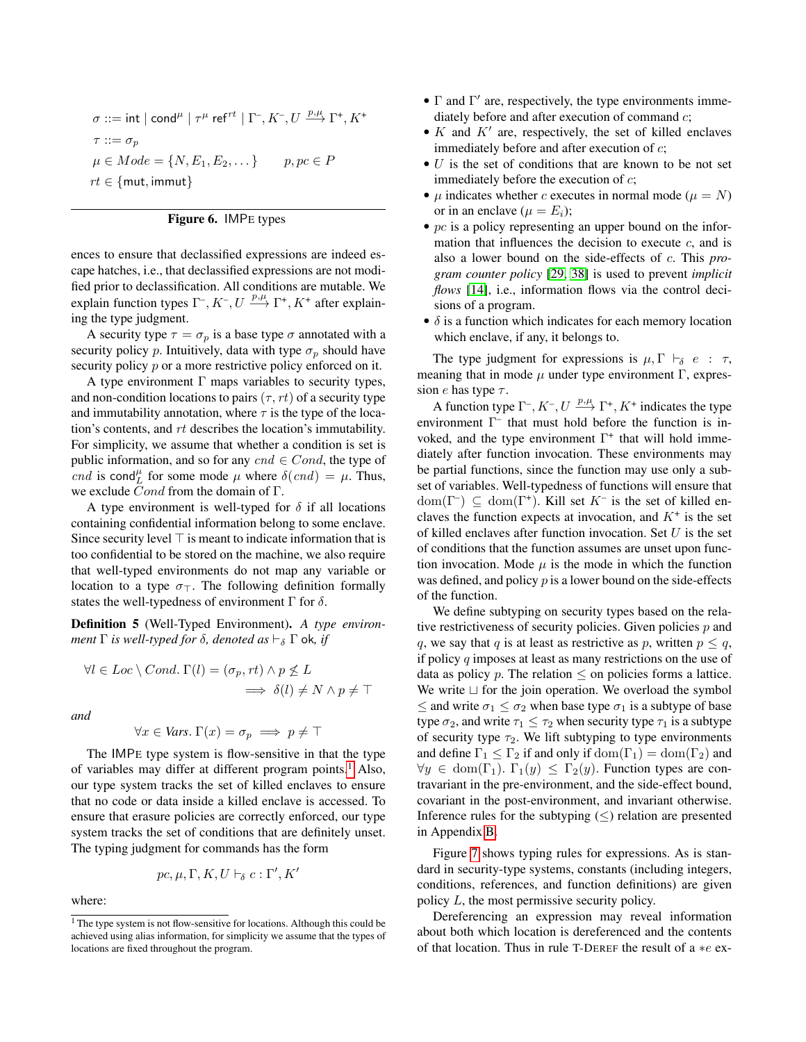$$
\begin{aligned} \sigma &::=\mathsf{int} \mid \mathsf{cond}^\mu \mid \tau^\mu \;\mathsf{ref}^{rt} \mid \Gamma^{\text{-}}, K^{\text{-}}, U \xrightarrow{p,\mu} \Gamma^{\text{+}}, K^{\text{+}}\\ \tau &::=\sigma_p\\ \mu &\in Mode = \{N, E_1, E_2, \dots\} \qquad p, pc \in P\\ rt &\in \{\mathsf{mut}, \mathsf{immut}\} \end{aligned}
$$

<span id="page-8-0"></span>

ences to ensure that declassified expressions are indeed escape hatches, i.e., that declassified expressions are not modified prior to declassification. All conditions are mutable. We explain function types  $\Gamma^-, K^-, U \stackrel{p,\mu}{\longrightarrow} \Gamma^+, K^+$  after explaining the type judgment.

A security type  $\tau = \sigma_p$  is a base type  $\sigma$  annotated with a security policy p. Intuitively, data with type  $\sigma_p$  should have security policy p or a more restrictive policy enforced on it.

A type environment  $\Gamma$  maps variables to security types, and non-condition locations to pairs  $(\tau, rt)$  of a security type and immutability annotation, where  $\tau$  is the type of the location's contents, and rt describes the location's immutability. For simplicity, we assume that whether a condition is set is public information, and so for any  $cnd \in Cond$ , the type of *cnd* is cond<sup> $\mu$ </sup> for some mode  $\mu$  where  $\delta(cnd) = \mu$ . Thus, we exclude Cond from the domain of Γ.

A type environment is well-typed for  $\delta$  if all locations containing confidential information belong to some enclave. Since security level  $\top$  is meant to indicate information that is too confidential to be stored on the machine, we also require that well-typed environments do not map any variable or location to a type  $\sigma_{\perp}$ . The following definition formally states the well-typedness of environment  $\Gamma$  for  $\delta$ .

Definition 5 (Well-Typed Environment). *A type environment*  $\Gamma$  *is well-typed for*  $\delta$ *, denoted as*  $\vdash_{\delta} \Gamma$  ok, *if* 

$$
\forall l \in Loc \setminus Cond. \Gamma(l) = (\sigma_p, rt) \land p \nleq L
$$
  

$$
\implies \delta(l) \neq N \land p \neq \top
$$

*and*

$$
\forall x \in \text{Vars. } \Gamma(x) = \sigma_p \implies p \neq \top
$$

The IMPE type system is flow-sensitive in that the type of variables may differ at different program points.<sup>[1](#page-8-1)</sup> Also, our type system tracks the set of killed enclaves to ensure that no code or data inside a killed enclave is accessed. To ensure that erasure policies are correctly enforced, our type system tracks the set of conditions that are definitely unset. The typing judgment for commands has the form

$$
pc, \mu, \Gamma, K, U \vdash_{\delta} c : \Gamma', K'
$$

where:

- $\bullet$   $\Gamma$  and  $\Gamma'$  are, respectively, the type environments immediately before and after execution of command  $c$ ;
- $K$  and  $K'$  are, respectively, the set of killed enclaves immediately before and after execution of  $c$ ;
- $\bullet$  U is the set of conditions that are known to be not set immediately before the execution of  $c$ ;
- $\mu$  indicates whether c executes in normal mode ( $\mu = N$ ) or in an enclave ( $\mu = E_i$ );
- $pc$  is a policy representing an upper bound on the information that influences the decision to execute  $c$ , and is also a lower bound on the side-effects of c. This *program counter policy* [\[29,](#page-18-0) [38\]](#page-19-0) is used to prevent *implicit flows* [\[14\]](#page-18-19), i.e., information flows via the control decisions of a program.
- $\bullet$   $\delta$  is a function which indicates for each memory location which enclave, if any, it belongs to.

The type judgment for expressions is  $\mu$ ,  $\Gamma \vdash_{\delta} e : \tau$ , meaning that in mode  $\mu$  under type environment  $\Gamma$ , expression *e* has type  $\tau$ .

A function type  $\Gamma^-, K^-, U \stackrel{p,\mu}{\longrightarrow} \Gamma^+, K^+$  indicates the type environment Γ – that must hold before the function is invoked, and the type environment  $\Gamma^+$  that will hold immediately after function invocation. These environments may be partial functions, since the function may use only a subset of variables. Well-typedness of functions will ensure that  $dom(\Gamma^-) \subseteq dom(\Gamma^+)$ . Kill set K<sup>-</sup> is the set of killed enclaves the function expects at invocation, and  $K^+$  is the set of killed enclaves after function invocation. Set  $U$  is the set of conditions that the function assumes are unset upon function invocation. Mode  $\mu$  is the mode in which the function was defined, and policy  $p$  is a lower bound on the side-effects of the function.

We define subtyping on security types based on the relative restrictiveness of security policies. Given policies  $p$  and q, we say that q is at least as restrictive as p, written  $p \leq q$ , if policy  $q$  imposes at least as many restrictions on the use of data as policy p. The relation  $\leq$  on policies forms a lattice. We write  $\sqcup$  for the join operation. We overload the symbol  $\leq$  and write  $\sigma_1 \leq \sigma_2$  when base type  $\sigma_1$  is a subtype of base type  $\sigma_2$ , and write  $\tau_1 \leq \tau_2$  when security type  $\tau_1$  is a subtype of security type  $\tau_2$ . We lift subtyping to type environments and define  $\Gamma_1 \leq \Gamma_2$  if and only if  $\text{dom}(\Gamma_1) = \text{dom}(\Gamma_2)$  and  $\forall y \in \text{dom}(\Gamma_1)$ .  $\Gamma_1(y) \leq \Gamma_2(y)$ . Function types are contravariant in the pre-environment, and the side-effect bound, covariant in the post-environment, and invariant otherwise. Inference rules for the subtyping  $(\le)$  relation are presented in Appendix [B.](#page-19-3)

Figure [7](#page-9-0) shows typing rules for expressions. As is standard in security-type systems, constants (including integers, conditions, references, and function definitions) are given policy L, the most permissive security policy.

Dereferencing an expression may reveal information about both which location is dereferenced and the contents of that location. Thus in rule T-DEREF the result of a ∗e ex-

<span id="page-8-1"></span><sup>&</sup>lt;sup>1</sup> The type system is not flow-sensitive for locations. Although this could be achieved using alias information, for simplicity we assume that the types of locations are fixed throughout the program.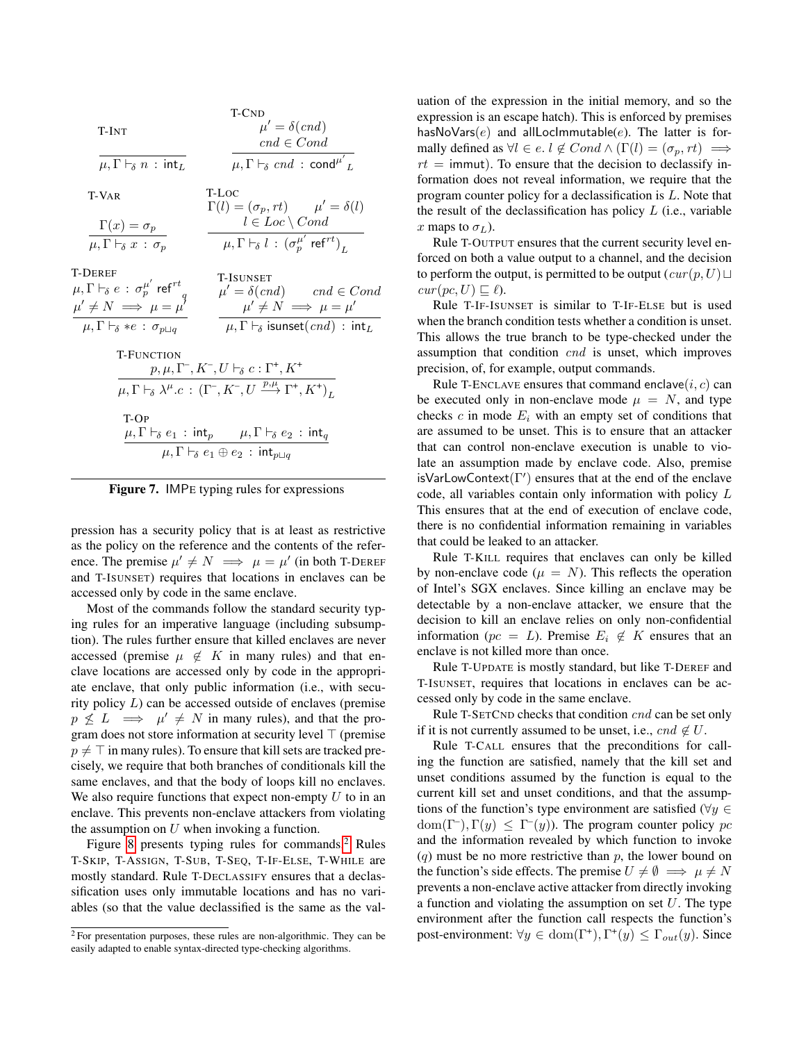|                                                                                                            | T-CND                                                                              |  |  |
|------------------------------------------------------------------------------------------------------------|------------------------------------------------------------------------------------|--|--|
| T-INT                                                                                                      | $\mu' = \delta(cnd)$                                                               |  |  |
|                                                                                                            | $cnd \in Cond$                                                                     |  |  |
| $\mu, \Gamma \vdash_{\delta} n : \mathsf{int}_L$                                                           | $\mu, \Gamma \vdash_{\delta} cnd : \mathsf{cond}^{\mu'}$                           |  |  |
| T-VAR                                                                                                      | T-LOC                                                                              |  |  |
| $\Gamma(x) = \sigma_p$                                                                                     | $\Gamma(l) = (\sigma_p, rt) \qquad \mu' = \delta(l)$<br>$l \in Loc \setminus Cond$ |  |  |
| $\mu, \Gamma \vdash_{\delta} x : \sigma_p$                                                                 | $\mu, \Gamma \vdash_{\delta} l : (\sigma_n^{\mu'} \operatorname{ref}^{rt})_I$      |  |  |
| <b>T-DEREF</b>                                                                                             | <b>T-ISUNSET</b>                                                                   |  |  |
| $\mu, \Gamma \vdash_{\delta} e\,:\, \sigma^{\mu'}_{p}$ ref $^{rt}$                                         | $\mu' = \delta(cnd)$ cnd $\in Cond$                                                |  |  |
| $\mu' \neq N \implies \mu = \mu'$                                                                          | $\mu' \neq N \implies \mu = \mu'$                                                  |  |  |
| $\mu, \Gamma \vdash_{\delta} *e : \sigma_{p \sqcup q}$                                                     | $\mu, \Gamma \vdash_{\delta}$ isunset $(cnd)$ : int $_L$                           |  |  |
| <b>T-FUNCTION</b>                                                                                          |                                                                                    |  |  |
| $p, \mu, \Gamma^-, K^-, U \vdash_{\delta} c : \Gamma^+, K^+$                                               |                                                                                    |  |  |
| $\mu, \Gamma \vdash_{\delta} \lambda^{\mu}.c : (\Gamma^-, K^-, U \xrightarrow{p,\mu} \Gamma^+, K^+)_r$     |                                                                                    |  |  |
| T-OP                                                                                                       |                                                                                    |  |  |
| $\mu, \Gamma \vdash_{\delta} e_1 : \mathsf{int}_p \qquad \mu, \Gamma \vdash_{\delta} e_2 : \mathsf{int}_q$ |                                                                                    |  |  |
| $\mu, \Gamma \vdash_{\delta} e_1 \oplus e_2 : \mathsf{int}_{p \sqcup q}$                                   |                                                                                    |  |  |

<span id="page-9-0"></span>

pression has a security policy that is at least as restrictive as the policy on the reference and the contents of the reference. The premise  $\mu' \neq N \implies \mu = \mu'$  (in both T-DEREF and T-ISUNSET) requires that locations in enclaves can be accessed only by code in the same enclave.

Most of the commands follow the standard security typing rules for an imperative language (including subsumption). The rules further ensure that killed enclaves are never accessed (premise  $\mu \notin K$  in many rules) and that enclave locations are accessed only by code in the appropriate enclave, that only public information (i.e., with security policy  $L$ ) can be accessed outside of enclaves (premise  $p \not\leq L \implies \mu' \neq N$  in many rules), and that the program does not store information at security level  $\top$  (premise  $p \neq \top$  in many rules). To ensure that kill sets are tracked precisely, we require that both branches of conditionals kill the same enclaves, and that the body of loops kill no enclaves. We also require functions that expect non-empty  $U$  to in an enclave. This prevents non-enclave attackers from violating the assumption on  $U$  when invoking a function.

Figure [8](#page-10-0) presents typing rules for commands.[2](#page-9-1) Rules T-SKIP, T-ASSIGN, T-SUB, T-SEQ, T-IF-ELSE, T-WHILE are mostly standard. Rule T-DECLASSIFY ensures that a declassification uses only immutable locations and has no variables (so that the value declassified is the same as the valuation of the expression in the initial memory, and so the expression is an escape hatch). This is enforced by premises hasNoVars( $e$ ) and allLocImmutable( $e$ ). The latter is formally defined as  $\forall l \in e \in l \notin Cond \wedge (\Gamma(l) = (\sigma_n, rt) \implies$  $rt =$  immut). To ensure that the decision to declassify information does not reveal information, we require that the program counter policy for a declassification is L. Note that the result of the declassification has policy  $L$  (i.e., variable x maps to  $\sigma_L$ ).

Rule T-OUTPUT ensures that the current security level enforced on both a value output to a channel, and the decision to perform the output, is permitted to be output  $(cur(p, U) \sqcup$  $cur(pc, U) \sqsubseteq \ell$ ).

Rule T-IF-ISUNSET is similar to T-IF-ELSE but is used when the branch condition tests whether a condition is unset. This allows the true branch to be type-checked under the assumption that condition cnd is unset, which improves precision, of, for example, output commands.

Rule T-ENCLAVE ensures that command enclave $(i, c)$  can be executed only in non-enclave mode  $\mu = N$ , and type checks c in mode  $E_i$  with an empty set of conditions that are assumed to be unset. This is to ensure that an attacker that can control non-enclave execution is unable to violate an assumption made by enclave code. Also, premise isVarLowContext( $\Gamma'$ ) ensures that at the end of the enclave code, all variables contain only information with policy L This ensures that at the end of execution of enclave code, there is no confidential information remaining in variables that could be leaked to an attacker.

Rule T-KILL requires that enclaves can only be killed by non-enclave code ( $\mu = N$ ). This reflects the operation of Intel's SGX enclaves. Since killing an enclave may be detectable by a non-enclave attacker, we ensure that the decision to kill an enclave relies on only non-confidential information ( $pc = L$ ). Premise  $E_i \notin K$  ensures that an enclave is not killed more than once.

Rule T-UPDATE is mostly standard, but like T-DEREF and T-ISUNSET, requires that locations in enclaves can be accessed only by code in the same enclave.

Rule T-SETCND checks that condition cnd can be set only if it is not currently assumed to be unset, i.e.,  $cnd \notin U$ .

Rule T-CALL ensures that the preconditions for calling the function are satisfied, namely that the kill set and unset conditions assumed by the function is equal to the current kill set and unset conditions, and that the assumptions of the function's type environment are satisfied ( $\forall y \in$  $dom(\Gamma^{-}), \Gamma(y) \leq \Gamma^{-}(y)$ . The program counter policy pc and the information revealed by which function to invoke  $(q)$  must be no more restrictive than p, the lower bound on the function's side effects. The premise  $U \neq \emptyset \implies \mu \neq N$ prevents a non-enclave active attacker from directly invoking a function and violating the assumption on set  $U$ . The type environment after the function call respects the function's post-environment:  $\forall y \in \text{dom}(\Gamma^+), \Gamma^+(y) \leq \Gamma_{out}(y)$ . Since

<span id="page-9-1"></span><sup>2</sup> For presentation purposes, these rules are non-algorithmic. They can be easily adapted to enable syntax-directed type-checking algorithms.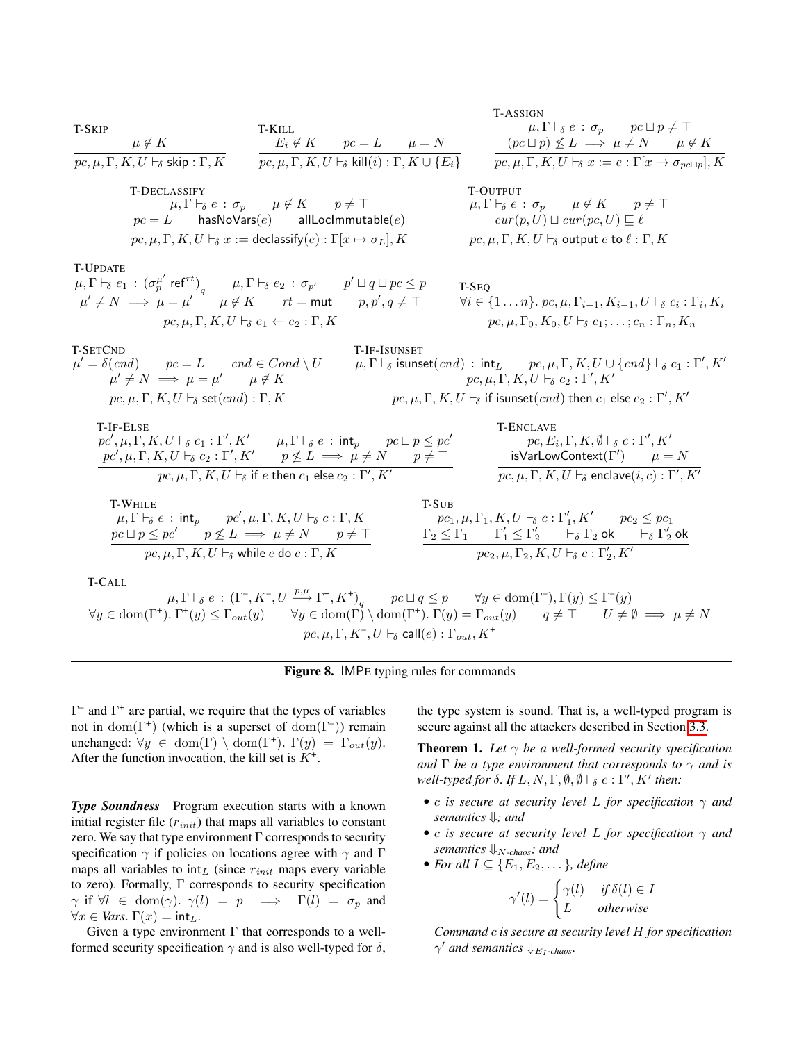

### <span id="page-10-0"></span>Figure 8. IMPE typing rules for commands

Γ – and Γ + are partial, we require that the types of variables not in  $dom(\Gamma^+)$  (which is a superset of  $dom(\Gamma^-)$ ) remain unchanged:  $\forall y \in \text{dom}(\Gamma) \setminus \text{dom}(\Gamma^+). \Gamma(y) = \Gamma_{out}(y).$ After the function invocation, the kill set is  $K^+$ .

*Type Soundness* Program execution starts with a known initial register file  $(r_{init})$  that maps all variables to constant zero. We say that type environment  $\Gamma$  corresponds to security specification  $\gamma$  if policies on locations agree with  $\gamma$  and  $\Gamma$ maps all variables to  $int_L$  (since  $r_{init}$  maps every variable to zero). Formally,  $\Gamma$  corresponds to security specification  $\gamma$  if  $\forall l \in \text{dom}(\gamma)$ .  $\gamma(l) = p \implies \Gamma(l) = \sigma_p$  and  $\forall x \in Vars. \Gamma(x) = \mathsf{int}_L.$ 

Given a type environment  $\Gamma$  that corresponds to a wellformed security specification  $\gamma$  and is also well-typed for  $\delta$ , the type system is sound. That is, a well-typed program is secure against all the attackers described in Section [3.3.](#page-7-3)

<span id="page-10-1"></span>**Theorem 1.** Let  $\gamma$  be a well-formed security specification *and*  $\Gamma$  *be a type environment that corresponds to*  $\gamma$  *and is*  $well-type d for \delta. If L, N, \Gamma, \emptyset, \emptyset \vdash_{\delta} c : \Gamma', K' then:$ 

- c *is secure at security level* L *for specification* γ *and semantics* ⇓*; and*
- c *is secure at security level* L *for specification* γ *and semantics*  $\downarrow_{N-chaos}$ *; and*
- *For all*  $I \subseteq \{E_1, E_2, \dots\}$ *, define*

$$
\gamma'(l) = \begin{cases} \gamma(l) & \text{if } \delta(l) \in I \\ L & \text{otherwise} \end{cases}
$$

*Command* c *is secure at security level* H *for specification*  $\gamma'$  and semantics  $\downarrow_{E_I \text{-chaos}}$ .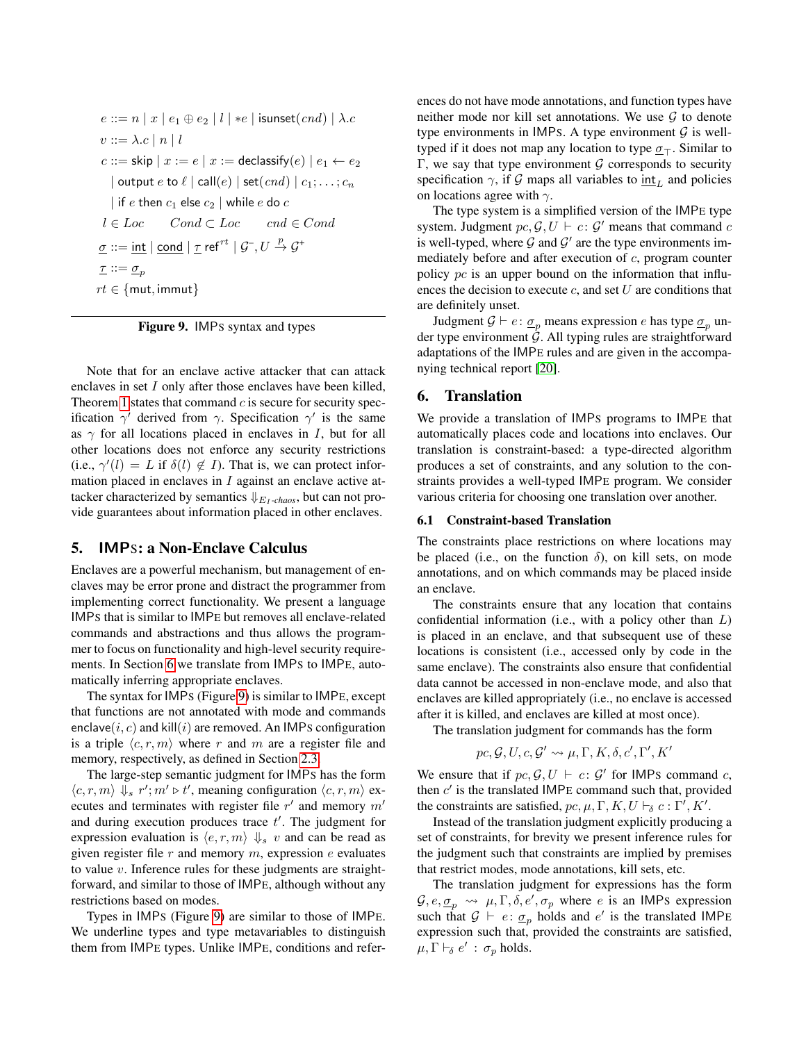```
e ::= n | x | e_1 \oplus e_2 | l | *e | isunset(cnd) | \lambda.cv ::= \lambda.c | n | lc ::= skip x := e \mid x := declassify(e) \mid e_1 \leftarrow e_2| output e to \ell | call(e) | set(cnd) | c_1; \ldots; c_n| if e then c_1 else c_2 | while e do cl \in Loc \hspace{0.5cm} Cond \subset Loc \hspace{0.5cm} end \in Cond\underline{\sigma} ::= \text{int} \mid \text{cond} \mid \underline{\tau} ref^{rt} \mid \mathcal{G}^{\neg}, U \stackrel{p}{\rightarrow} \mathcal{G}^+\underline{\tau} ::= \underline{\sigma}_prt \in \{mut, immut\}
```
<span id="page-11-2"></span>Figure 9. IMPS syntax and types

Note that for an enclave active attacker that can attack enclaves in set I only after those enclaves have been killed, Theorem [1](#page-10-1) states that command  $c$  is secure for security specification  $\gamma'$  derived from  $\gamma$ . Specification  $\gamma'$  is the same as  $\gamma$  for all locations placed in enclaves in I, but for all other locations does not enforce any security restrictions (i.e.,  $\gamma'(l) = L$  if  $\delta(l) \notin I$ ). That is, we can protect information placed in enclaves in *I* against an enclave active attacker characterized by semantics  $\downarrow E_1$ *-chaos*, but can not provide guarantees about information placed in other enclaves.

## <span id="page-11-0"></span>5. IMPS: a Non-Enclave Calculus

Enclaves are a powerful mechanism, but management of enclaves may be error prone and distract the programmer from implementing correct functionality. We present a language IMPS that is similar to IMPE but removes all enclave-related commands and abstractions and thus allows the programmer to focus on functionality and high-level security requirements. In Section [6](#page-11-1) we translate from IMPS to IMPE, automatically inferring appropriate enclaves.

The syntax for IMPS (Figure [9\)](#page-11-2) is similar to IMPE, except that functions are not annotated with mode and commands enclave( $i, c$ ) and kill( $i$ ) are removed. An IMPs configuration is a triple  $\langle c, r, m \rangle$  where r and m are a register file and memory, respectively, as defined in Section [2.3.](#page-3-1)

The large-step semantic judgment for IMPS has the form  $\langle c, r, m \rangle \Downarrow_s r'; m' \triangleright t'$ , meaning configuration  $\langle c, r, m \rangle$  executes and terminates with register file  $r'$  and memory  $m'$ and during execution produces trace  $t'$ . The judgment for expression evaluation is  $\langle e, r, m \rangle \Downarrow_s v$  and can be read as given register file  $r$  and memory  $m$ , expression  $e$  evaluates to value  $v$ . Inference rules for these judgments are straightforward, and similar to those of IMPE, although without any restrictions based on modes.

Types in IMPS (Figure [9\)](#page-11-2) are similar to those of IMPE. We underline types and type metavariables to distinguish them from IMPE types. Unlike IMPE, conditions and references do not have mode annotations, and function types have neither mode nor kill set annotations. We use  $G$  to denote type environments in IMPs. A type environment  $G$  is welltyped if it does not map any location to type  $\sigma_{\tau}$ . Similar to Γ, we say that type environment  $G$  corresponds to security specification  $\gamma$ , if G maps all variables to  $\frac{int}{L}$  and policies on locations agree with  $\gamma$ .

The type system is a simplified version of the IMPE type system. Judgment  $pc$ ,  $\mathcal{G}, U \vdash c : \mathcal{G}'$  means that command c is well-typed, where  $G$  and  $G'$  are the type environments immediately before and after execution of c, program counter policy pc is an upper bound on the information that influences the decision to execute  $c$ , and set  $U$  are conditions that are definitely unset.

Judgment  $G \vdash e : \underline{\sigma}_p$  means expression e has type  $\underline{\sigma}_p$  under type environment  $G$ . All typing rules are straightforward adaptations of the IMPE rules and are given in the accompanying technical report [\[20\]](#page-18-20).

## <span id="page-11-1"></span>6. Translation

We provide a translation of IMPS programs to IMPE that automatically places code and locations into enclaves. Our translation is constraint-based: a type-directed algorithm produces a set of constraints, and any solution to the constraints provides a well-typed IMPE program. We consider various criteria for choosing one translation over another.

#### 6.1 Constraint-based Translation

The constraints place restrictions on where locations may be placed (i.e., on the function  $\delta$ ), on kill sets, on mode annotations, and on which commands may be placed inside an enclave.

The constraints ensure that any location that contains confidential information (i.e., with a policy other than  $L$ ) is placed in an enclave, and that subsequent use of these locations is consistent (i.e., accessed only by code in the same enclave). The constraints also ensure that confidential data cannot be accessed in non-enclave mode, and also that enclaves are killed appropriately (i.e., no enclave is accessed after it is killed, and enclaves are killed at most once).

The translation judgment for commands has the form

$$
pc, \mathcal{G}, U, c, \mathcal{G}' \leadsto \mu, \Gamma, K, \delta, c', \Gamma', K'
$$

We ensure that if  $pc$ ,  $\mathcal{G}, U \vdash c : \mathcal{G}'$  for IMPs command c, then  $c'$  is the translated IMPE command such that, provided the constraints are satisfied,  $pc, \mu, \Gamma, K, U \vdash_{\delta} c : \Gamma', K'.$ 

Instead of the translation judgment explicitly producing a set of constraints, for brevity we present inference rules for the judgment such that constraints are implied by premises that restrict modes, mode annotations, kill sets, etc.

The translation judgment for expressions has the form  $\mathcal{G}, e, \underline{\sigma}_p \leadsto \mu, \Gamma, \delta, e', \sigma_p$  where e is an IMPs expression such that  $G \vdash e : \underline{\sigma}_p$  holds and  $e'$  is the translated IMPE expression such that, provided the constraints are satisfied,  $\mu, \Gamma \vdash_{\delta} e' : \sigma_p$  holds.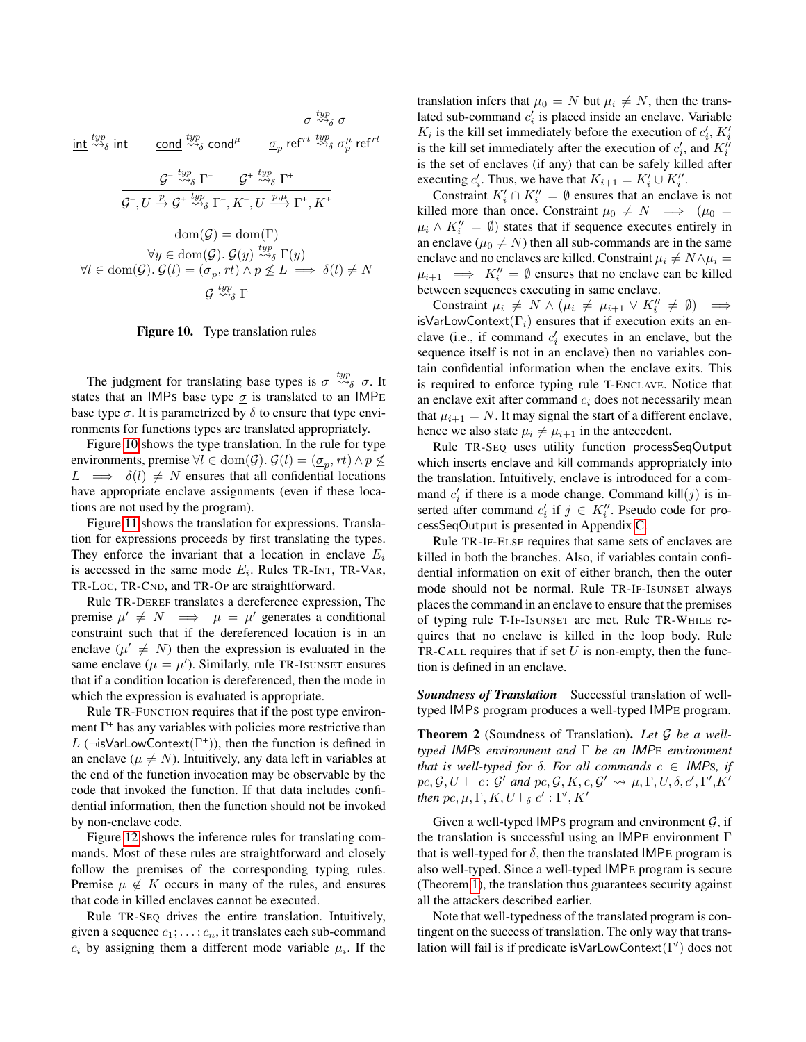$$
\begin{array}{ll}\n\hline\n\text{int} \quad \frac{g}{\text{top}} \quad \frac{y}{\text{top}} \quad \frac{g}{\text{top}} \quad \frac{y}{\text{top}} \quad \sigma \\
\frac{g}{\text{top}} \quad \frac{y}{\text{top}} \quad \frac{g}{\text{top}} \quad \frac{y}{\text{top}} \quad \frac{g}{\text{top}}}{\text{top}} \quad \frac{g}{\text{top}} \quad \frac{y}{\text{top}} \quad \frac{g}{\text{top}}}{\text{top}} \quad \frac{g}{\text{top}} \quad \frac{y}{\text{top}} \quad \frac{g}{\text{top}}}{\text{top}} \quad \frac{g}{\text{top}} \quad \frac{y}{\text{top}} \quad \frac{g}{\text{top}}}{\text{top}} \quad \frac{g}{\text{top}} \quad \frac{y}{\text{top}} \quad \frac{g}{\text{top}}}{\text{top}} \quad \frac{g}{\text{top}} \quad \frac{y}{\text{top}} \quad \frac{g}{\text{top}} \quad \frac{y}{\text{top}}}{\text{top}} \quad \frac{g}{\text{top}} \quad \frac{y}{\text{top}} \quad \frac{g}{\text{top}} \quad \frac{y}{\text{top}}}{\text{top}} \quad \frac{g}{\text{top}} \quad \frac{y}{\text{top}} \quad \frac{g}{\text{top}} \quad \frac{y}{\text{top}}}{\text{top}} \quad \frac{g}{\text{top}} \quad \frac{y}{\text{top}} \quad \frac{y}{\text{top}} \quad \frac{y}{\text{top}}}{\text{top}} \quad \frac{g}{\text{top}} \quad \frac{y}{\text{top}} \quad \frac{y}{\text{top}} \quad \frac{y}{\text{top}}}{\text{top}} \quad \frac{g}{\text{top}} \quad \frac{y}{\text{top}} \quad \frac{y}{\text{top}}}{\text{top}} \quad \frac{g}{\text{top}} \quad \frac{y}{\text{top}} \quad \frac{y}{\text{top}}}{\text{top}} \quad \frac{g}{\text{top}} \quad \frac{y}{\text{top}} \quad \frac{y}{\text{top}} \quad \frac{y}{\text{top}}}{\text{top}} \quad \frac{g}{\text{top}} \quad \frac{y}{\text{top}} \quad \frac{y}{\text{top}} \quad \frac{y}{\text{top}}}{\
$$

<span id="page-12-0"></span>Figure 10. Type translation rules

The judgment for translating base types is  $\sigma \stackrel{typ}{\leadsto_{\delta}} \sigma$ . It states that an IMPs base type  $\sigma$  is translated to an IMPE base type  $\sigma$ . It is parametrized by  $\delta$  to ensure that type environments for functions types are translated appropriately.

Figure [10](#page-12-0) shows the type translation. In the rule for type environments, premise  $\forall l \in \text{dom}(\mathcal{G})$ .  $\mathcal{G}(l) = (\underline{\sigma}_p, rt) \land p \not\leq 0$  $L \implies \delta(l) \neq N$  ensures that all confidential locations have appropriate enclave assignments (even if these locations are not used by the program).

Figure [11](#page-13-0) shows the translation for expressions. Translation for expressions proceeds by first translating the types. They enforce the invariant that a location in enclave  $E_i$ is accessed in the same mode  $E_i$ . Rules TR-INT, TR-VAR, TR-LOC, TR-CND, and TR-OP are straightforward.

Rule TR-DEREF translates a dereference expression, The premise  $\mu' \neq N \implies \mu = \mu'$  generates a conditional constraint such that if the dereferenced location is in an enclave  $(\mu' \neq N)$  then the expression is evaluated in the same enclave ( $\mu = \mu'$ ). Similarly, rule TR-ISUNSET ensures that if a condition location is dereferenced, then the mode in which the expression is evaluated is appropriate.

Rule TR-FUNCTION requires that if the post type environment Γ<sup>+</sup> has any variables with policies more restrictive than L ( $\neg$ isVarLowContext( $\Gamma^+$ )), then the function is defined in an enclave ( $\mu \neq N$ ). Intuitively, any data left in variables at the end of the function invocation may be observable by the code that invoked the function. If that data includes confidential information, then the function should not be invoked by non-enclave code.

Figure [12](#page-14-0) shows the inference rules for translating commands. Most of these rules are straightforward and closely follow the premises of the corresponding typing rules. Premise  $\mu \notin K$  occurs in many of the rules, and ensures that code in killed enclaves cannot be executed.

Rule TR-SEQ drives the entire translation. Intuitively, given a sequence  $c_1; \ldots; c_n$ , it translates each sub-command  $c_i$  by assigning them a different mode variable  $\mu_i$ . If the

translation infers that  $\mu_0 = N$  but  $\mu_i \neq N$ , then the translated sub-command  $c_i$  is placed inside an enclave. Variable  $K_i$  is the kill set immediately before the execution of  $c'_i$ ,  $K'_i$ is the kill set immediately after the execution of  $c_i'$ , and  $K_i''$ is the set of enclaves (if any) that can be safely killed after executing  $c'_i$ . Thus, we have that  $K_{i+1} = K'_i \cup K''_i$ .

Constraint  $K_i' \cap K_i'' = \emptyset$  ensures that an enclave is not killed more than once. Constraint  $\mu_0 \neq N \implies (\mu_0 =$  $\mu_i \wedge K''_i = \emptyset$  states that if sequence executes entirely in an enclave ( $\mu_0 \neq N$ ) then all sub-commands are in the same enclave and no enclaves are killed. Constraint  $\mu_i \neq N \wedge \mu_i =$  $\mu_{i+1} \implies K''_i = \emptyset$  ensures that no enclave can be killed between sequences executing in same enclave.

Constraint  $\mu_i \neq N \wedge (\mu_i \neq \mu_{i+1} \vee K''_i \neq \emptyset) \implies$ isVarLowContext( $\Gamma_i$ ) ensures that if execution exits an enclave (i.e., if command  $c_i$  executes in an enclave, but the sequence itself is not in an enclave) then no variables contain confidential information when the enclave exits. This is required to enforce typing rule T-ENCLAVE. Notice that an enclave exit after command  $c_i$  does not necessarily mean that  $\mu_{i+1} = N$ . It may signal the start of a different enclave, hence we also state  $\mu_i \neq \mu_{i+1}$  in the antecedent.

Rule TR-SEQ uses utility function processSeqOutput which inserts enclave and kill commands appropriately into the translation. Intuitively, enclave is introduced for a command  $c_i'$  if there is a mode change. Command kill $(j)$  is inserted after command  $c'_i$  if  $j \in K''_i$ . Pseudo code for processSeqOutput is presented in Appendix [C.](#page-19-4)

Rule TR-IF-ELSE requires that same sets of enclaves are killed in both the branches. Also, if variables contain confidential information on exit of either branch, then the outer mode should not be normal. Rule TR-IF-ISUNSET always places the command in an enclave to ensure that the premises of typing rule T-IF-ISUNSET are met. Rule TR-WHILE requires that no enclave is killed in the loop body. Rule TR-CALL requires that if set  $U$  is non-empty, then the function is defined in an enclave.

*Soundness of Translation* Successful translation of welltyped IMPS program produces a well-typed IMPE program.

Theorem 2 (Soundness of Translation). *Let* G *be a welltyped* IMPS *environment and* Γ *be an* IMPE *environment that is well-typed for*  $\delta$ *. For all commands*  $c \in$  IMPs, *if*  $pc, \mathcal{G}, U \vdash c : \mathcal{G}'$  and  $pc, \mathcal{G}, K, c, \mathcal{G}' \leadsto \mu, \Gamma, U, \delta, c', \Gamma', K'$ *then*  $pc, \mu, \Gamma, K, U \vdash_{\delta} c' : \Gamma', K'$ 

Given a well-typed IMPs program and environment  $G$ , if the translation is successful using an IMPE environment Γ that is well-typed for  $\delta$ , then the translated IMPE program is also well-typed. Since a well-typed IMPE program is secure (Theorem [1\)](#page-10-1), the translation thus guarantees security against all the attackers described earlier.

Note that well-typedness of the translated program is contingent on the success of translation. The only way that translation will fail is if predicate is VarLowContext( $\Gamma'$ ) does not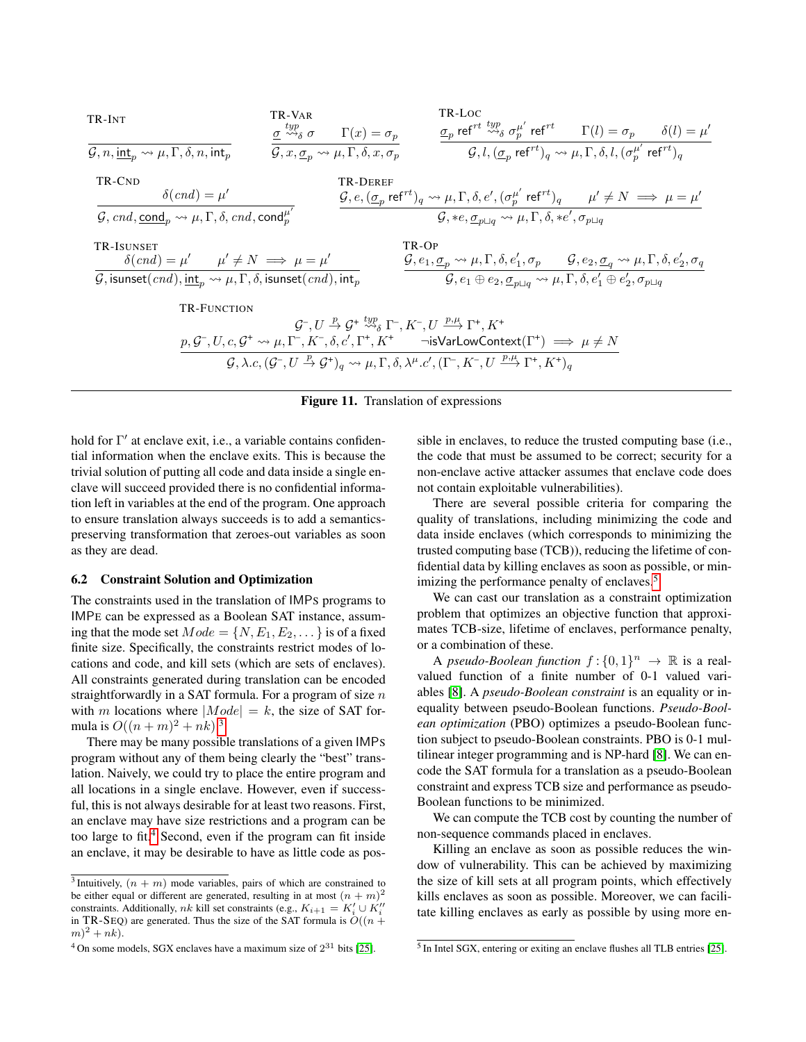

#### <span id="page-13-0"></span>Figure 11. Translation of expressions

hold for Γ' at enclave exit, i.e., a variable contains confidential information when the enclave exits. This is because the trivial solution of putting all code and data inside a single enclave will succeed provided there is no confidential information left in variables at the end of the program. One approach to ensure translation always succeeds is to add a semanticspreserving transformation that zeroes-out variables as soon as they are dead.

#### 6.2 Constraint Solution and Optimization

The constraints used in the translation of IMPS programs to IMPE can be expressed as a Boolean SAT instance, assuming that the mode set  $Mode = \{N, E_1, E_2, \dots\}$  is of a fixed finite size. Specifically, the constraints restrict modes of locations and code, and kill sets (which are sets of enclaves). All constraints generated during translation can be encoded straightforwardly in a SAT formula. For a program of size  $n$ with m locations where  $|Mode| = k$ , the size of SAT formula is  $O((n+m)^2 + nk)^3$  $O((n+m)^2 + nk)^3$ 

There may be many possible translations of a given IMPS program without any of them being clearly the "best" translation. Naively, we could try to place the entire program and all locations in a single enclave. However, even if successful, this is not always desirable for at least two reasons. First, an enclave may have size restrictions and a program can be too large to fit.<sup>[4](#page-13-2)</sup> Second, even if the program can fit inside an enclave, it may be desirable to have as little code as possible in enclaves, to reduce the trusted computing base (i.e., the code that must be assumed to be correct; security for a non-enclave active attacker assumes that enclave code does not contain exploitable vulnerabilities).

There are several possible criteria for comparing the quality of translations, including minimizing the code and data inside enclaves (which corresponds to minimizing the trusted computing base (TCB)), reducing the lifetime of confidential data by killing enclaves as soon as possible, or min-imizing the performance penalty of enclaves.<sup>[5](#page-13-3)</sup>

We can cast our translation as a constraint optimization problem that optimizes an objective function that approximates TCB-size, lifetime of enclaves, performance penalty, or a combination of these.

A *pseudo-Boolean function*  $f: \{0, 1\}^n \rightarrow \mathbb{R}$  is a realvalued function of a finite number of 0-1 valued variables [\[8\]](#page-18-21). A *pseudo-Boolean constraint* is an equality or inequality between pseudo-Boolean functions. *Pseudo-Boolean optimization* (PBO) optimizes a pseudo-Boolean function subject to pseudo-Boolean constraints. PBO is 0-1 multilinear integer programming and is NP-hard [\[8\]](#page-18-21). We can encode the SAT formula for a translation as a pseudo-Boolean constraint and express TCB size and performance as pseudo-Boolean functions to be minimized.

We can compute the TCB cost by counting the number of non-sequence commands placed in enclaves.

Killing an enclave as soon as possible reduces the window of vulnerability. This can be achieved by maximizing the size of kill sets at all program points, which effectively kills enclaves as soon as possible. Moreover, we can facilitate killing enclaves as early as possible by using more en-

<span id="page-13-1"></span><sup>&</sup>lt;sup>3</sup> Intuitively,  $(n + m)$  mode variables, pairs of which are constrained to be either equal or different are generated, resulting in at most  $(n + m)^2$ constraints. Additionally, nk kill set constraints (e.g.,  $K_{i+1} = K_i' \cup K_i''$ in TR-SEQ) are generated. Thus the size of the SAT formula is  $O((n +$  $(m)^{2} + nk$ ).

<span id="page-13-2"></span> $4$  On some models, SGX enclaves have a maximum size of  $2^{31}$  bits [\[25\]](#page-18-4).

<span id="page-13-3"></span><sup>&</sup>lt;sup>5</sup> In Intel SGX, entering or exiting an enclave flushes all TLB entries [\[25\]](#page-18-4).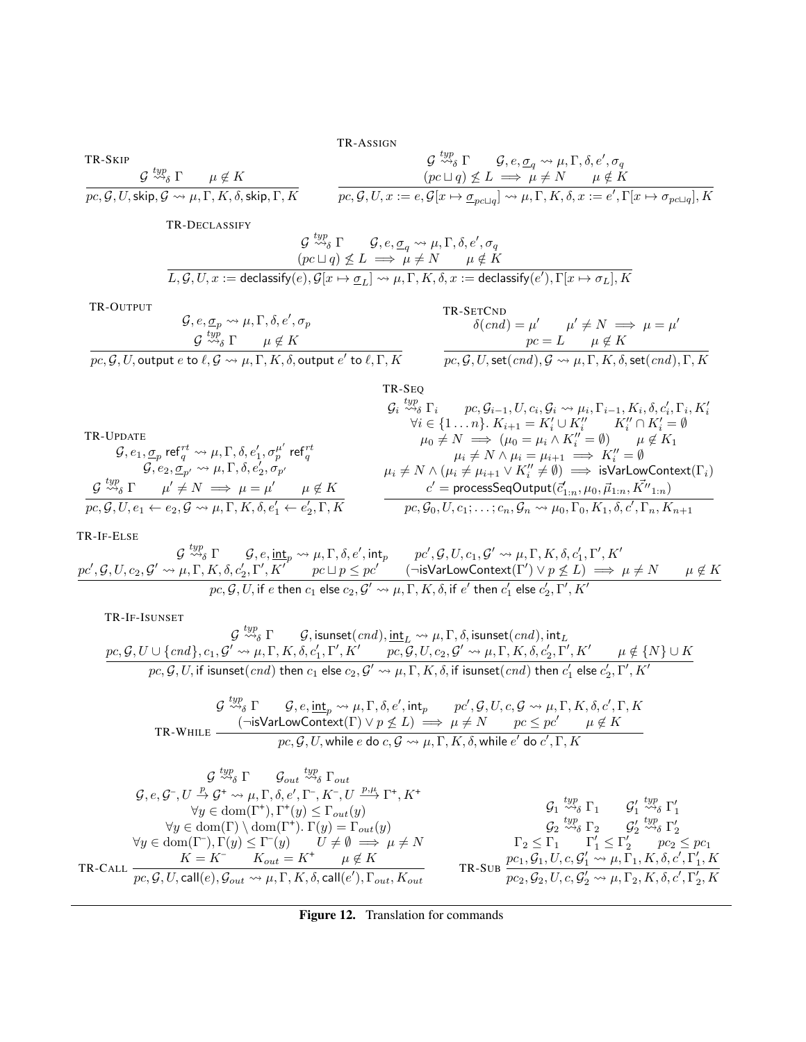TR-ASSIGN

$$
\begin{array}{ccc}\n\text{TR-SKIP} & \mathcal{G} \stackrel{typ}{\leadsto_{\delta}} \Gamma & \mathcal{G}, e, \mathcal{G}_q \leadsto \mu, \Gamma, \delta, e', \sigma_q \\
\mathcal{G} \stackrel{typ}{\leadsto_{\delta}} \Gamma & \mu \notin K & \quad (pc \sqcup q) \not\leq L \implies \mu \neq N & \mu \notin K \\
\hline\npc, \mathcal{G}, U, \text{skip}, \mathcal{G} \leadsto \mu, \Gamma, K, \delta, \text{skip}, \Gamma, K & \overline{pc}, \mathcal{G}, U, x := e, \mathcal{G}[x \mapsto \underline{\sigma}_{pc \sqcup q}] \leadsto \mu, \Gamma, K, \delta, x := e', \Gamma[x \mapsto \sigma_{pc \sqcup q}], K\n\end{array}
$$

TR-DECLASSIFY

$$
\begin{array}{cc} \mathcal{G} \stackrel{typ}{\leadsto_{\delta}} \Gamma & \mathcal{G}, e, \underline{\sigma}_q \leadsto \mu, \Gamma, \delta, e', \sigma_q \\ (pc \sqcup q) \not\leq L \implies \mu \neq N & \mu \notin K \\ \overline{L, \mathcal{G}, U, x := \mathsf{declassify}(e), \mathcal{G}[x \mapsto \underline{\sigma}_L] \leadsto \mu, \Gamma, K, \delta, x := \mathsf{declassify}(e'), \Gamma[x \mapsto \sigma_L], K} \end{array}
$$

TR-OUTPUT

TR-UPDATE

$$
G, e, \underline{\sigma}_p \leadsto \mu, \Gamma, \delta, e', \sigma_p
$$
  
\n
$$
G \stackrel{typ}{\leadsto_{\delta}} \Gamma
$$
\n
$$
F \stackrel{top}{=} K
$$
\n
$$
G \stackrel{top}{\leadsto_{\delta}} \Gamma
$$
\n
$$
F \stackrel{per}{=} K
$$
\n
$$
F \stackrel{top}{=} \mu \notin K
$$
\n
$$
F \stackrel{per}{=} \mu \notin K
$$
\n
$$
F \stackrel{per}{=} \mu \notin K
$$
\n
$$
F \stackrel{per}{=} \mu \notin K
$$
\n
$$
F \stackrel{per}{=} \mu \notin K
$$
\n
$$
F \stackrel{per}{=} \mu \notin K
$$
\n
$$
F \stackrel{per}{=} \mu \notin K
$$

$$
\overline{pc, \mathcal{G}, U, \text{output } e \text{ to } \ell, \mathcal{G} \leadsto \mu, \Gamma, K, \delta, \text{output } e' \text{ to } \ell, \Gamma, K}
$$

$$
\begin{array}{ll}\n\text{TR-UPDATE} & \text{TR-}\mathsf{SPQ} \\
\mathcal{G}_i \stackrel{typ}{\leadsto_{\delta}} \Gamma_i & pc, \mathcal{G}_{i-1}, U, c_i, \mathcal{G}_i \leadsto \mu_i, \Gamma_{i-1}, K_i, \delta, c'_i, \Gamma_i, K'_i \\
\forall i \in \{1 \dots n\}. K_{i+1} = K'_i \cup K''_i & K''_i \cap K'_i = \emptyset \\
\mathcal{G}, e_1, \sigma_p \mathsf{ref}^{rt}_q \leadsto \mu, \Gamma, \delta, e'_1, \sigma_p^{\mu'} \mathsf{ref}^{rt}_q & \mu_i \neq N \rightarrow (\mu_0 = \mu_i \land K''_i = \emptyset) & \mu \notin K_1 \\
\mathcal{G}, e_2, \sigma_{p'} \leadsto \mu, \Gamma, \delta, e'_2, \sigma_{p'} & \mu_i \neq N \land (\mu_i \neq \mu_{i+1} \lor K''_i \neq \emptyset) \implies \text{isVarLowContext}(\Gamma_i) \\
\mathcal{G}^{typ}_{\leadsto_{\delta}} \Gamma & \mu' \neq N \implies \mu = \mu' & \mu \notin K \\
pc, \mathcal{G}, U, e_1 \leftarrow e_2, \mathcal{G} \leadsto \mu, \Gamma, K, \delta, e'_1 \leftarrow e'_2, \Gamma, K & \mathcal{P}, \mathcal{G}_0, U, c_1; \dots; c_n, \mathcal{G}_n \leadsto \mu_0, \Gamma_0, K_1, \delta, c', \Gamma_n, K_{n+1}\n\end{array}
$$

### TR-IF-ELSE

$$
\underbrace{g \stackrel{typ}{\leadsto_{\delta}} \Gamma \qquad \mathcal{G}, e, \underbrace{\text{int}_{p} \leadsto \mu, \Gamma, \delta, e', \text{int}_{p}}_{pc', \mathcal{G}, U, c_2, \mathcal{G'} \leadsto \mu, \Gamma, K, \delta, c'_2, \Gamma', K'} p c \sqcup p \leq pc' \qquad (\neg \text{isVarLowContext}(\Gamma') \lor p \not\leq L) \implies \mu \neq N \qquad \mu \notin K} \\ \underbrace{pc, \mathcal{G}, U, \text{if } e \text{ then } c_1 \text{ else } c_2, \mathcal{G'} \leadsto \mu, \Gamma, K, \delta, \text{if } e' \text{ then } c'_1 \text{ else } c'_2, \Gamma', K'}_{pc, \mathcal{G}, U, \text{if } e \text{ then } c_1 \text{ else } c_2, \mathcal{G'} \leadsto \mu, \Gamma, K, \delta, \text{if } e' \text{ then } c'_1 \text{ else } c'_2, \Gamma', K'}
$$

TR-IF-ISUNSET

$$
\begin{array}{cc}\mathcal{G} \stackrel{typ}{\leadsto_{\delta}} \Gamma & \mathcal{G}, \text{isunset}(cnd), \underline{\mathsf{int}}_L \leadsto \mu, \Gamma, \delta, \text{isunset}(cnd), \mathsf{int}_L\\ \underline{pc}, \mathcal{G}, U \cup \{cnd\}, c_1, \mathcal{G}' \leadsto \mu, \Gamma, K, \delta, c_1', \Gamma', K' \qquad pc, \mathcal{G}, U, c_2, \mathcal{G}' \leadsto \mu, \Gamma, K, \delta, c_2', \Gamma', K' \qquad \mu \notin \{N\} \cup K\\ \underline{pc}, \mathcal{G}, U, \text{if isunset}(cnd) \text{ then } c_1 \text{ else } c_2, \mathcal{G}' \leadsto \mu, \Gamma, K, \delta, \text{if isunset}(cnd) \text{ then } c_1' \text{ else } c_2', \Gamma', K'\end{array}
$$

$$
\mathcal{G} \stackrel{typ}{\leadsto_{\delta}} \Gamma \qquad \mathcal{G}, e, \underline{\text{int}}_p \leadsto \mu, \Gamma, \delta, e', \text{int}_p \qquad pc', \mathcal{G}, U, c, \mathcal{G} \leadsto \mu, \Gamma, K, \delta, c', \Gamma, K
$$
  
\nTR-WHILE\n
$$
\frac{(\neg \text{isVarLowContext}(\Gamma) \lor p \not\leq L) \implies \mu \neq N \qquad pc \leq pc'}{pc, \mathcal{G}, U, \text{while } e \text{ do } c, \mathcal{G} \leadsto \mu, \Gamma, K, \delta, \text{while } e' \text{ do } c', \Gamma, K}
$$

$$
\begin{array}{cccc}\n & \mathcal{G} \stackrel{typ}{\leadsto} \Gamma & \mathcal{G}_{out} \stackrel{typ}{\leadsto} \Gamma_{out} \\
 & \mathcal{G}, e, \mathcal{G}^-, U \stackrel{p}{\rightarrow} \mathcal{G}^+ \leadsto \mu, \Gamma, \delta, e', \Gamma^-, K^-, U \stackrel{p,\mu}{\rightarrow} \Gamma^+, K^+ \\
 & \forall y \in \text{dom}(\Gamma^+), \Gamma^+(y) \leq \Gamma_{out}(y) \\
 & \forall y \in \text{dom}(\Gamma^-), \Gamma(y) \leq \Gamma^-(y) \\
 & \mathcal{G}_1 \stackrel{typ}{\leadsto} \Gamma_1 & \mathcal{G}_1' \stackrel{typ}{\leadsto} \Gamma_1' \\
 & \mathcal{G}_1 \stackrel{typ}{\leadsto} \Gamma_1 & \mathcal{G}_1' \stackrel{typ}{\leadsto} \Gamma_1' \\
 & \mathcal{G}_1 \stackrel{typ}{\leadsto} \Gamma_1 & \mathcal{G}_1' \stackrel{typ}{\leadsto} \Gamma_1' \\
 & \mathcal{G}_1 \stackrel{typ}{\leadsto} \Gamma_1 & \mathcal{G}_1' \stackrel{typ}{\leadsto} \Gamma_1' \\
 & \mathcal{G}_1 \stackrel{typ}{\leadsto} \Gamma_1 & \mathcal{G}_1' \stackrel{typ}{\leadsto} \Gamma_1' \\
 & \mathcal{G}_1 \stackrel{typ}{\leadsto} \Gamma_1 & \mathcal{G}_1' \stackrel{typ}{\leadsto} \Gamma_1' \\
 & \mathcal{G}_1 \stackrel{typ}{\leadsto} \Gamma_1 & \mathcal{G}_1' \stackrel{typ}{\leadsto} \Gamma_1' \\
 & \mathcal{G}_2 \stackrel{typ}{\leadsto} \Gamma_2 & \mathcal{G}_2' \stackrel{typ}{\leadsto} \Gamma_2 \\
 & \mathcal{G}_2 \stackrel{typ}{\leadsto} \Gamma_2 & \mathcal{G}_2' \stackrel{top}{\leadsto} \Gamma_1 \\
 & \mathcal{G}_2 \stackrel{top}{\leadsto} \Gamma_1 & \mathcal{G}_2' \stackrel{top}{\leadsto} \Gamma_1 \\
 & \mathcal{G}_2 \stackrel{top}{\leadsto} \Gamma_2 & \mathcal{G}_2' \stackrel{top}{\leadsto} \Gamma_2 \\
 & \mathcal{G}_2 \stackrel{top}{\leadsto} \Gamma_1 & \mathcal{G}_2' \stackrel{top}{\leadsto} \Gamma_1 \\
 & \mathcal{G}_2 \stackrel
$$

<span id="page-14-0"></span>Figure 12. Translation for commands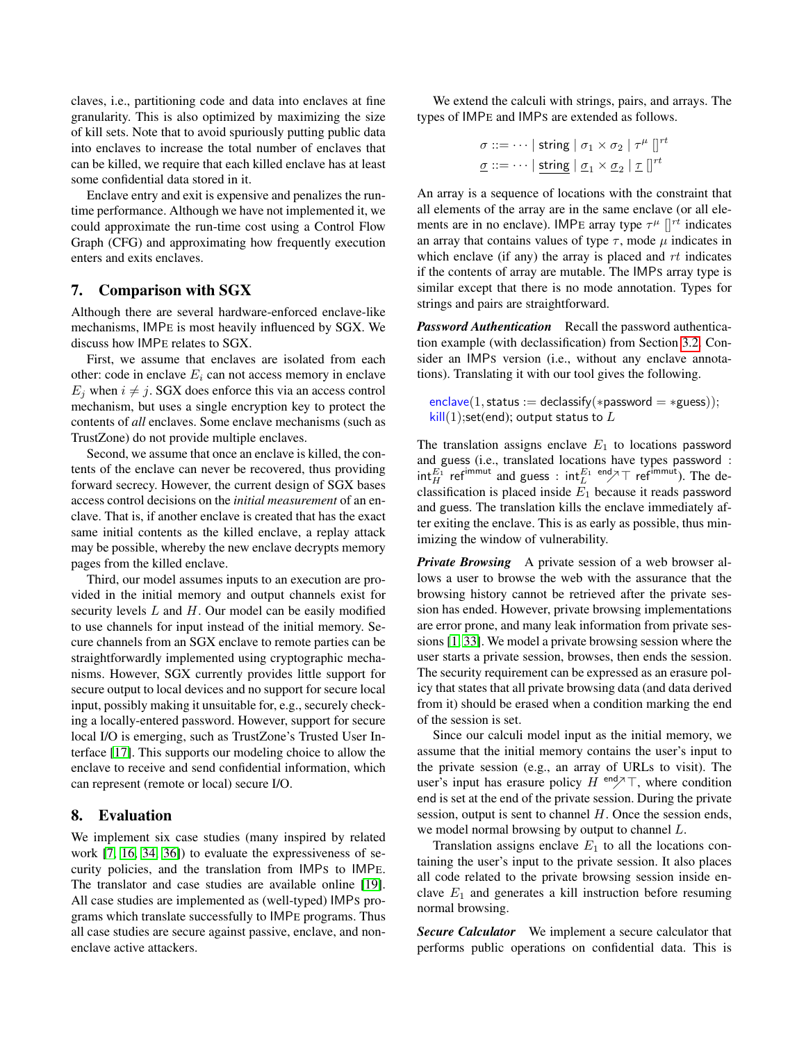claves, i.e., partitioning code and data into enclaves at fine granularity. This is also optimized by maximizing the size of kill sets. Note that to avoid spuriously putting public data into enclaves to increase the total number of enclaves that can be killed, we require that each killed enclave has at least some confidential data stored in it.

Enclave entry and exit is expensive and penalizes the runtime performance. Although we have not implemented it, we could approximate the run-time cost using a Control Flow Graph (CFG) and approximating how frequently execution enters and exits enclaves.

## 7. Comparison with SGX

Although there are several hardware-enforced enclave-like mechanisms, IMPE is most heavily influenced by SGX. We discuss how IMPE relates to SGX.

First, we assume that enclaves are isolated from each other: code in enclave  $E_i$  can not access memory in enclave  $E_j$  when  $i \neq j$ . SGX does enforce this via an access control mechanism, but uses a single encryption key to protect the contents of *all* enclaves. Some enclave mechanisms (such as TrustZone) do not provide multiple enclaves.

Second, we assume that once an enclave is killed, the contents of the enclave can never be recovered, thus providing forward secrecy. However, the current design of SGX bases access control decisions on the *initial measurement* of an enclave. That is, if another enclave is created that has the exact same initial contents as the killed enclave, a replay attack may be possible, whereby the new enclave decrypts memory pages from the killed enclave.

Third, our model assumes inputs to an execution are provided in the initial memory and output channels exist for security levels  $L$  and  $H$ . Our model can be easily modified to use channels for input instead of the initial memory. Secure channels from an SGX enclave to remote parties can be straightforwardly implemented using cryptographic mechanisms. However, SGX currently provides little support for secure output to local devices and no support for secure local input, possibly making it unsuitable for, e.g., securely checking a locally-entered password. However, support for secure local I/O is emerging, such as TrustZone's Trusted User Interface [\[17\]](#page-18-22). This supports our modeling choice to allow the enclave to receive and send confidential information, which can represent (remote or local) secure I/O.

## <span id="page-15-0"></span>8. Evaluation

We implement six case studies (many inspired by related work [\[7,](#page-18-2) [16,](#page-18-23) [34,](#page-19-5) [36\]](#page-19-6)) to evaluate the expressiveness of security policies, and the translation from IMPS to IMPE. The translator and case studies are available online [\[19\]](#page-18-24). All case studies are implemented as (well-typed) IMPS programs which translate successfully to IMPE programs. Thus all case studies are secure against passive, enclave, and nonenclave active attackers.

We extend the calculi with strings, pairs, and arrays. The types of IMPE and IMPS are extended as follows.

$$
\sigma ::= \dots \mid \text{string} \mid \sigma_1 \times \sigma_2 \mid \tau^{\mu} \mid \mid^{\tau t}
$$

$$
\underline{\sigma} ::= \dots \mid \text{string} \mid \underline{\sigma}_1 \times \underline{\sigma}_2 \mid \underline{\tau} \mid \mid^{\tau t}
$$

An array is a sequence of locations with the constraint that all elements of the array are in the same enclave (or all elements are in no enclave). IMPE array type  $\tau^{\mu}$   $\vert\vert^{rt}$  indicates an array that contains values of type  $\tau$ , mode  $\mu$  indicates in which enclave (if any) the array is placed and  $rt$  indicates if the contents of array are mutable. The IMPS array type is similar except that there is no mode annotation. Types for strings and pairs are straightforward.

*Password Authentication* Recall the password authentication example (with declassification) from Section [3.2.](#page-5-0) Consider an IMPS version (i.e., without any enclave annotations). Translating it with our tool gives the following.

```
enclave(1, status := declassify(*password = *guess));kill(1); set(end); output status to L
```
The translation assigns enclave  $E_1$  to locations password and guess (i.e., translated locations have types password :  $\int_H^{E_1}$  ref<sup>immut</sup> and guess :  $\int_H^{E_1} \frac{1}{2} \, dt$  ref<sup>immut</sup>). The declassification is placed inside  $E_1$  because it reads password and guess. The translation kills the enclave immediately after exiting the enclave. This is as early as possible, thus minimizing the window of vulnerability.

*Private Browsing* A private session of a web browser allows a user to browse the web with the assurance that the browsing history cannot be retrieved after the private session has ended. However, private browsing implementations are error prone, and many leak information from private sessions [\[1,](#page-17-0) [33\]](#page-18-25). We model a private browsing session where the user starts a private session, browses, then ends the session. The security requirement can be expressed as an erasure policy that states that all private browsing data (and data derived from it) should be erased when a condition marking the end of the session is set.

Since our calculi model input as the initial memory, we assume that the initial memory contains the user's input to the private session (e.g., an array of URLs to visit). The user's input has erasure policy  $H^{end} \nearrow T$ , where condition end is set at the end of the private session. During the private session, output is sent to channel H. Once the session ends, we model normal browsing by output to channel L.

Translation assigns enclave  $E_1$  to all the locations containing the user's input to the private session. It also places all code related to the private browsing session inside enclave  $E_1$  and generates a kill instruction before resuming normal browsing.

*Secure Calculator* We implement a secure calculator that performs public operations on confidential data. This is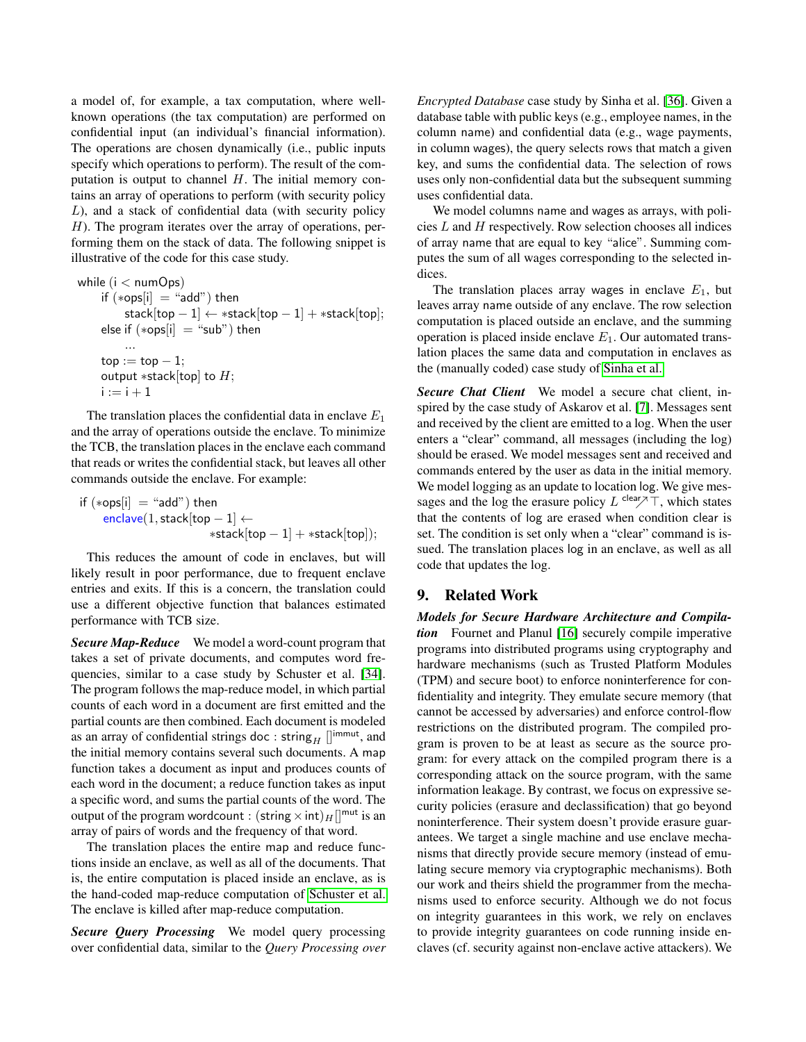a model of, for example, a tax computation, where wellknown operations (the tax computation) are performed on confidential input (an individual's financial information). The operations are chosen dynamically (i.e., public inputs specify which operations to perform). The result of the computation is output to channel  $H$ . The initial memory contains an array of operations to perform (with security policy L), and a stack of confidential data (with security policy  $H$ ). The program iterates over the array of operations, performing them on the stack of data. The following snippet is illustrative of the code for this case study.

while  $(i < numOps)$ if  $(*ops[i] = "add")$  then stack[top - 1]  $\leftarrow$  \*stack[top - 1] + \*stack[top]; else if  $(*ops[i] = "sub")$  then ...  $top := top - 1;$ output  $*stack[top]$  to  $H$ ;  $i := i + 1$ 

The translation places the confidential data in enclave  $E_1$ and the array of operations outside the enclave. To minimize the TCB, the translation places in the enclave each command that reads or writes the confidential stack, but leaves all other commands outside the enclave. For example:

$$
\begin{aligned} \text{if } (*\mathsf{ops}[i] &= \text{``add''}) \text{ then} \\ &\text{enclave}(1, \text{stack}[\mathsf{top} - 1] \leftarrow \\ & \text{``stack}[\mathsf{top} - 1] + \text{``stack}[\mathsf{top}]); \end{aligned}
$$

This reduces the amount of code in enclaves, but will likely result in poor performance, due to frequent enclave entries and exits. If this is a concern, the translation could use a different objective function that balances estimated performance with TCB size.

*Secure Map-Reduce* We model a word-count program that takes a set of private documents, and computes word frequencies, similar to a case study by Schuster et al. [\[34\]](#page-19-5). The program follows the map-reduce model, in which partial counts of each word in a document are first emitted and the partial counts are then combined. Each document is modeled as an array of confidential strings doc: string  $\text{min}$  [] $\text{inmut}$ , and the initial memory contains several such documents. A map function takes a document as input and produces counts of each word in the document; a reduce function takes as input a specific word, and sums the partial counts of the word. The output of the program wordcount :  $(\text{string} \times \text{int})<sub>H</sub>$ []<sup>mut</sup> is an array of pairs of words and the frequency of that word.

The translation places the entire map and reduce functions inside an enclave, as well as all of the documents. That is, the entire computation is placed inside an enclave, as is the hand-coded map-reduce computation of [Schuster et al.](#page-19-5) The enclave is killed after map-reduce computation.

*Secure Query Processing* We model query processing over confidential data, similar to the *Query Processing over* *Encrypted Database* case study by Sinha et al. [\[36\]](#page-19-6). Given a database table with public keys (e.g., employee names, in the column name) and confidential data (e.g., wage payments, in column wages), the query selects rows that match a given key, and sums the confidential data. The selection of rows uses only non-confidential data but the subsequent summing uses confidential data.

We model columns name and wages as arrays, with policies  $L$  and  $H$  respectively. Row selection chooses all indices of array name that are equal to key "alice". Summing computes the sum of all wages corresponding to the selected indices.

The translation places array wages in enclave  $E_1$ , but leaves array name outside of any enclave. The row selection computation is placed outside an enclave, and the summing operation is placed inside enclave  $E_1$ . Our automated translation places the same data and computation in enclaves as the (manually coded) case study of [Sinha et al.](#page-19-6)

*Secure Chat Client* We model a secure chat client, inspired by the case study of Askarov et al. [\[7\]](#page-18-2). Messages sent and received by the client are emitted to a log. When the user enters a "clear" command, all messages (including the log) should be erased. We model messages sent and received and commands entered by the user as data in the initial memory. We model logging as an update to location log. We give messages and the log the erasure policy  $L^{\text{clear}}/T$ , which states that the contents of log are erased when condition clear is set. The condition is set only when a "clear" command is issued. The translation places log in an enclave, as well as all code that updates the log.

## 9. Related Work

*Models for Secure Hardware Architecture and Compilation* Fournet and Planul [\[16\]](#page-18-23) securely compile imperative programs into distributed programs using cryptography and hardware mechanisms (such as Trusted Platform Modules (TPM) and secure boot) to enforce noninterference for confidentiality and integrity. They emulate secure memory (that cannot be accessed by adversaries) and enforce control-flow restrictions on the distributed program. The compiled program is proven to be at least as secure as the source program: for every attack on the compiled program there is a corresponding attack on the source program, with the same information leakage. By contrast, we focus on expressive security policies (erasure and declassification) that go beyond noninterference. Their system doesn't provide erasure guarantees. We target a single machine and use enclave mechanisms that directly provide secure memory (instead of emulating secure memory via cryptographic mechanisms). Both our work and theirs shield the programmer from the mechanisms used to enforce security. Although we do not focus on integrity guarantees in this work, we rely on enclaves to provide integrity guarantees on code running inside enclaves (cf. security against non-enclave active attackers). We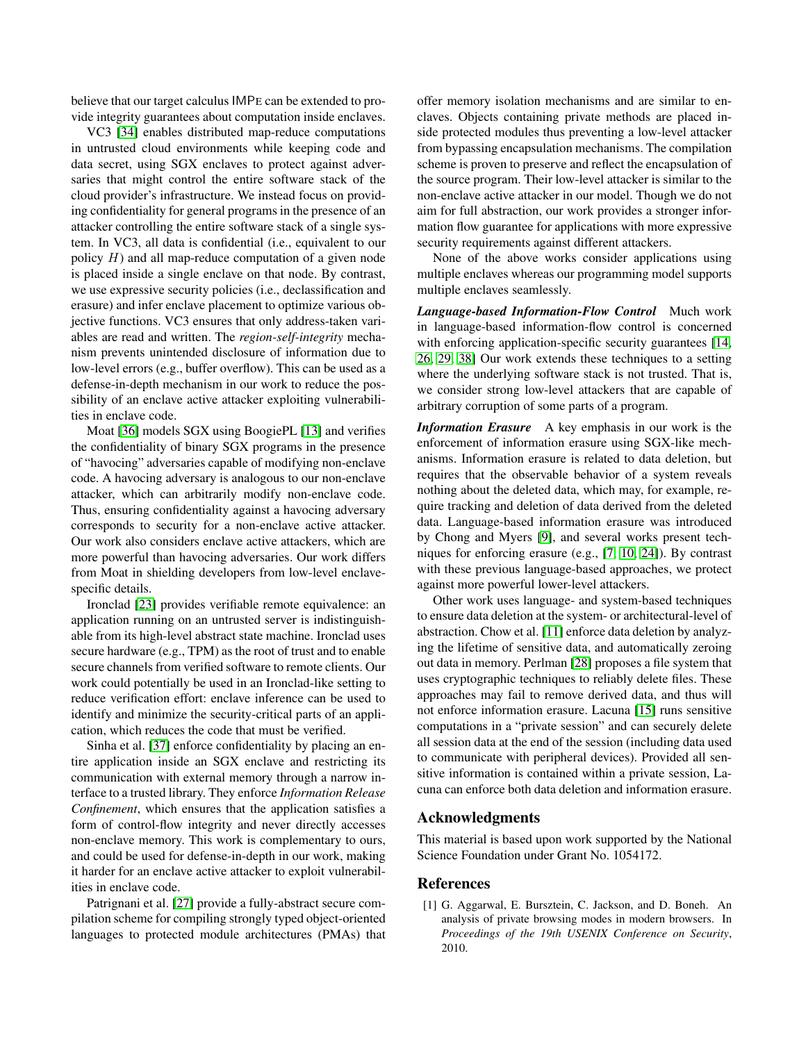believe that our target calculus IMPE can be extended to provide integrity guarantees about computation inside enclaves.

VC3 [\[34\]](#page-19-5) enables distributed map-reduce computations in untrusted cloud environments while keeping code and data secret, using SGX enclaves to protect against adversaries that might control the entire software stack of the cloud provider's infrastructure. We instead focus on providing confidentiality for general programs in the presence of an attacker controlling the entire software stack of a single system. In VC3, all data is confidential (i.e., equivalent to our policy  $H$ ) and all map-reduce computation of a given node is placed inside a single enclave on that node. By contrast, we use expressive security policies (i.e., declassification and erasure) and infer enclave placement to optimize various objective functions. VC3 ensures that only address-taken variables are read and written. The *region-self-integrity* mechanism prevents unintended disclosure of information due to low-level errors (e.g., buffer overflow). This can be used as a defense-in-depth mechanism in our work to reduce the possibility of an enclave active attacker exploiting vulnerabilities in enclave code.

Moat [\[36\]](#page-19-6) models SGX using BoogiePL [\[13\]](#page-18-26) and verifies the confidentiality of binary SGX programs in the presence of "havocing" adversaries capable of modifying non-enclave code. A havocing adversary is analogous to our non-enclave attacker, which can arbitrarily modify non-enclave code. Thus, ensuring confidentiality against a havocing adversary corresponds to security for a non-enclave active attacker. Our work also considers enclave active attackers, which are more powerful than havocing adversaries. Our work differs from Moat in shielding developers from low-level enclavespecific details.

Ironclad [\[23\]](#page-18-27) provides verifiable remote equivalence: an application running on an untrusted server is indistinguishable from its high-level abstract state machine. Ironclad uses secure hardware (e.g., TPM) as the root of trust and to enable secure channels from verified software to remote clients. Our work could potentially be used in an Ironclad-like setting to reduce verification effort: enclave inference can be used to identify and minimize the security-critical parts of an application, which reduces the code that must be verified.

Sinha et al. [\[37\]](#page-19-7) enforce confidentiality by placing an entire application inside an SGX enclave and restricting its communication with external memory through a narrow interface to a trusted library. They enforce *Information Release Confinement*, which ensures that the application satisfies a form of control-flow integrity and never directly accesses non-enclave memory. This work is complementary to ours, and could be used for defense-in-depth in our work, making it harder for an enclave active attacker to exploit vulnerabilities in enclave code.

Patrignani et al. [\[27\]](#page-18-28) provide a fully-abstract secure compilation scheme for compiling strongly typed object-oriented languages to protected module architectures (PMAs) that offer memory isolation mechanisms and are similar to enclaves. Objects containing private methods are placed inside protected modules thus preventing a low-level attacker from bypassing encapsulation mechanisms. The compilation scheme is proven to preserve and reflect the encapsulation of the source program. Their low-level attacker is similar to the non-enclave active attacker in our model. Though we do not aim for full abstraction, our work provides a stronger information flow guarantee for applications with more expressive security requirements against different attackers.

None of the above works consider applications using multiple enclaves whereas our programming model supports multiple enclaves seamlessly.

*Language-based Information-Flow Control* Much work in language-based information-flow control is concerned with enforcing application-specific security guarantees [\[14,](#page-18-19) [26,](#page-18-13) [29,](#page-18-0) [38\]](#page-19-0) Our work extends these techniques to a setting where the underlying software stack is not trusted. That is, we consider strong low-level attackers that are capable of arbitrary corruption of some parts of a program.

*Information Erasure* A key emphasis in our work is the enforcement of information erasure using SGX-like mechanisms. Information erasure is related to data deletion, but requires that the observable behavior of a system reveals nothing about the deleted data, which may, for example, require tracking and deletion of data derived from the deleted data. Language-based information erasure was introduced by Chong and Myers [\[9\]](#page-18-10), and several works present techniques for enforcing erasure (e.g., [\[7,](#page-18-2) [10,](#page-18-3) [24\]](#page-18-11)). By contrast with these previous language-based approaches, we protect against more powerful lower-level attackers.

Other work uses language- and system-based techniques to ensure data deletion at the system- or architectural-level of abstraction. Chow et al. [\[11\]](#page-18-29) enforce data deletion by analyzing the lifetime of sensitive data, and automatically zeroing out data in memory. Perlman [\[28\]](#page-18-30) proposes a file system that uses cryptographic techniques to reliably delete files. These approaches may fail to remove derived data, and thus will not enforce information erasure. Lacuna [\[15\]](#page-18-31) runs sensitive computations in a "private session" and can securely delete all session data at the end of the session (including data used to communicate with peripheral devices). Provided all sensitive information is contained within a private session, Lacuna can enforce both data deletion and information erasure.

## Acknowledgments

This material is based upon work supported by the National Science Foundation under Grant No. 1054172.

### References

<span id="page-17-0"></span>[1] G. Aggarwal, E. Bursztein, C. Jackson, and D. Boneh. An analysis of private browsing modes in modern browsers. In *Proceedings of the 19th USENIX Conference on Security*, 2010.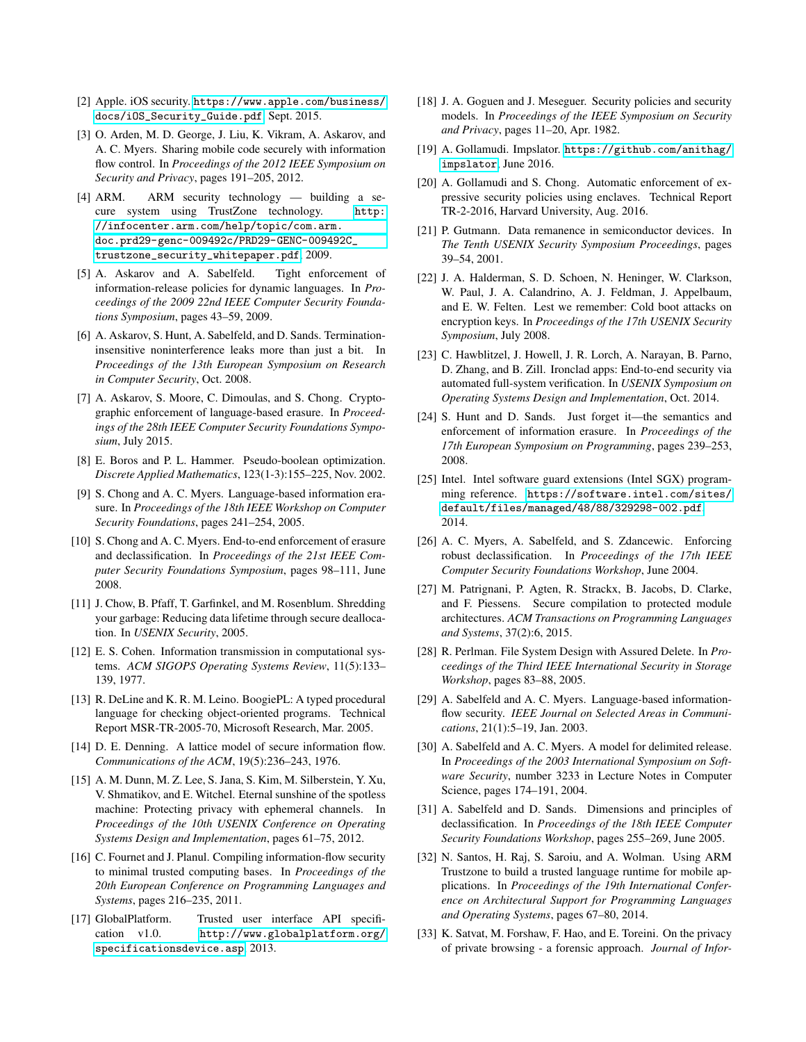- <span id="page-18-6"></span>[2] Apple. iOS security. [https://www.apple.com/business/](https://www.apple.com/business/docs/iOS_Security_Guide.pdf) [docs/iOS\\_Security\\_Guide.pdf](https://www.apple.com/business/docs/iOS_Security_Guide.pdf), Sept. 2015.
- <span id="page-18-12"></span>[3] O. Arden, M. D. George, J. Liu, K. Vikram, A. Askarov, and A. C. Myers. Sharing mobile code securely with information flow control. In *Proceedings of the 2012 IEEE Symposium on Security and Privacy*, pages 191–205, 2012.
- <span id="page-18-5"></span>[4] ARM. ARM security technology — building a secure system using TrustZone technology. [http:](http://infocenter.arm.com/help/topic/com.arm.doc.prd29-genc-009492c/PRD29-GENC-009492C_trustzone_security_whitepaper.pdf) [//infocenter.arm.com/help/topic/com.arm.](http://infocenter.arm.com/help/topic/com.arm.doc.prd29-genc-009492c/PRD29-GENC-009492C_trustzone_security_whitepaper.pdf) [doc.prd29-genc-009492c/PRD29-GENC-009492C\\_](http://infocenter.arm.com/help/topic/com.arm.doc.prd29-genc-009492c/PRD29-GENC-009492C_trustzone_security_whitepaper.pdf) [trustzone\\_security\\_whitepaper.pdf](http://infocenter.arm.com/help/topic/com.arm.doc.prd29-genc-009492c/PRD29-GENC-009492C_trustzone_security_whitepaper.pdf), 2009.
- <span id="page-18-17"></span>[5] A. Askarov and A. Sabelfeld. Tight enforcement of information-release policies for dynamic languages. In *Proceedings of the 2009 22nd IEEE Computer Security Foundations Symposium*, pages 43–59, 2009.
- <span id="page-18-18"></span>[6] A. Askarov, S. Hunt, A. Sabelfeld, and D. Sands. Terminationinsensitive noninterference leaks more than just a bit. In *Proceedings of the 13th European Symposium on Research in Computer Security*, Oct. 2008.
- <span id="page-18-2"></span>[7] A. Askarov, S. Moore, C. Dimoulas, and S. Chong. Cryptographic enforcement of language-based erasure. In *Proceedings of the 28th IEEE Computer Security Foundations Symposium*, July 2015.
- <span id="page-18-21"></span>[8] E. Boros and P. L. Hammer. Pseudo-boolean optimization. *Discrete Applied Mathematics*, 123(1-3):155–225, Nov. 2002.
- <span id="page-18-10"></span>[9] S. Chong and A. C. Myers. Language-based information erasure. In *Proceedings of the 18th IEEE Workshop on Computer Security Foundations*, pages 241–254, 2005.
- <span id="page-18-3"></span>[10] S. Chong and A. C. Myers. End-to-end enforcement of erasure and declassification. In *Proceedings of the 21st IEEE Computer Security Foundations Symposium*, pages 98–111, June 2008.
- <span id="page-18-29"></span>[11] J. Chow, B. Pfaff, T. Garfinkel, and M. Rosenblum. Shredding your garbage: Reducing data lifetime through secure deallocation. In *USENIX Security*, 2005.
- <span id="page-18-7"></span>[12] E. S. Cohen. Information transmission in computational systems. *ACM SIGOPS Operating Systems Review*, 11(5):133– 139, 1977.
- <span id="page-18-26"></span>[13] R. DeLine and K. R. M. Leino. BoogiePL: A typed procedural language for checking object-oriented programs. Technical Report MSR-TR-2005-70, Microsoft Research, Mar. 2005.
- <span id="page-18-19"></span>[14] D. E. Denning. A lattice model of secure information flow. *Communications of the ACM*, 19(5):236–243, 1976.
- <span id="page-18-31"></span>[15] A. M. Dunn, M. Z. Lee, S. Jana, S. Kim, M. Silberstein, Y. Xu, V. Shmatikov, and E. Witchel. Eternal sunshine of the spotless machine: Protecting privacy with ephemeral channels. In *Proceedings of the 10th USENIX Conference on Operating Systems Design and Implementation*, pages 61–75, 2012.
- <span id="page-18-23"></span>[16] C. Fournet and J. Planul. Compiling information-flow security to minimal trusted computing bases. In *Proceedings of the 20th European Conference on Programming Languages and Systems*, pages 216–235, 2011.
- <span id="page-18-22"></span>[17] GlobalPlatform. Trusted user interface API specification v1.0. [http://www.globalplatform.org/](http://www.globalplatform.org/specificationsdevice.asp) [specificationsdevice.asp](http://www.globalplatform.org/specificationsdevice.asp), 2013.
- <span id="page-18-8"></span>[18] J. A. Goguen and J. Meseguer. Security policies and security models. In *Proceedings of the IEEE Symposium on Security and Privacy*, pages 11–20, Apr. 1982.
- <span id="page-18-24"></span>[19] A. Gollamudi. Impslator. [https://github.com/anithag/](https://github.com/anithag/impslator) [impslator](https://github.com/anithag/impslator), June 2016.
- <span id="page-18-20"></span>[20] A. Gollamudi and S. Chong. Automatic enforcement of expressive security policies using enclaves. Technical Report TR-2-2016, Harvard University, Aug. 2016.
- <span id="page-18-14"></span>[21] P. Gutmann. Data remanence in semiconductor devices. In *The Tenth USENIX Security Symposium Proceedings*, pages 39–54, 2001.
- <span id="page-18-15"></span>[22] J. A. Halderman, S. D. Schoen, N. Heninger, W. Clarkson, W. Paul, J. A. Calandrino, A. J. Feldman, J. Appelbaum, and E. W. Felten. Lest we remember: Cold boot attacks on encryption keys. In *Proceedings of the 17th USENIX Security Symposium*, July 2008.
- <span id="page-18-27"></span>[23] C. Hawblitzel, J. Howell, J. R. Lorch, A. Narayan, B. Parno, D. Zhang, and B. Zill. Ironclad apps: End-to-end security via automated full-system verification. In *USENIX Symposium on Operating Systems Design and Implementation*, Oct. 2014.
- <span id="page-18-11"></span>[24] S. Hunt and D. Sands. Just forget it—the semantics and enforcement of information erasure. In *Proceedings of the 17th European Symposium on Programming*, pages 239–253, 2008.
- <span id="page-18-4"></span>[25] Intel. Intel software guard extensions (Intel SGX) programming reference. [https://software.intel.com/sites/](https://software.intel.com/sites/default/files/managed/48/88/329298-002.pdf) [default/files/managed/48/88/329298-002.pdf](https://software.intel.com/sites/default/files/managed/48/88/329298-002.pdf), 2014.
- <span id="page-18-13"></span>[26] A. C. Myers, A. Sabelfeld, and S. Zdancewic. Enforcing robust declassification. In *Proceedings of the 17th IEEE Computer Security Foundations Workshop*, June 2004.
- <span id="page-18-28"></span>[27] M. Patrignani, P. Agten, R. Strackx, B. Jacobs, D. Clarke, and F. Piessens. Secure compilation to protected module architectures. *ACM Transactions on Programming Languages and Systems*, 37(2):6, 2015.
- <span id="page-18-30"></span>[28] R. Perlman. File System Design with Assured Delete. In *Proceedings of the Third IEEE International Security in Storage Workshop*, pages 83–88, 2005.
- <span id="page-18-0"></span>[29] A. Sabelfeld and A. C. Myers. Language-based informationflow security. *IEEE Journal on Selected Areas in Communications*, 21(1):5–19, Jan. 2003.
- <span id="page-18-9"></span>[30] A. Sabelfeld and A. C. Myers. A model for delimited release. In *Proceedings of the 2003 International Symposium on Software Security*, number 3233 in Lecture Notes in Computer Science, pages 174–191, 2004.
- <span id="page-18-1"></span>[31] A. Sabelfeld and D. Sands. Dimensions and principles of declassification. In *Proceedings of the 18th IEEE Computer Security Foundations Workshop*, pages 255–269, June 2005.
- <span id="page-18-16"></span>[32] N. Santos, H. Raj, S. Saroiu, and A. Wolman. Using ARM Trustzone to build a trusted language runtime for mobile applications. In *Proceedings of the 19th International Conference on Architectural Support for Programming Languages and Operating Systems*, pages 67–80, 2014.
- <span id="page-18-25"></span>[33] K. Satvat, M. Forshaw, F. Hao, and E. Toreini. On the privacy of private browsing - a forensic approach. *Journal of Infor-*